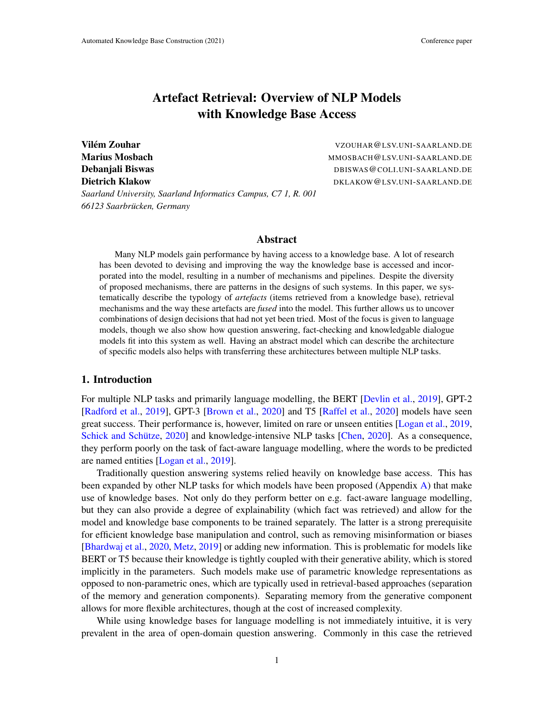# Artefact Retrieval: Overview of NLP Models with Knowledge Base Access

Vilém Zouhar *Vilem Zouhar* **VZOUHAR@LSV.UNI-SAARLAND.DE** Marius Mosbach Marius Marius Mosbach MMOSBACH @LSV.UNI-SAARLAND.DE **Debanjali Biswas** Debanjali Biswas Debanjali Biswas Debanjali Biswas Debanjali Biswas Debanjali Biswas Debanjali Biswas Debanjali Biswas Debanjali Biswas Debanjali Biswas Debanjali Biswas Debanjali Biswas Debanjali Biswas Dietrich Klakow DKLAKOW@LSV.UNI-SAARLAND.DE

*Saarland University, Saarland Informatics Campus, C7 1, R. 001 66123 Saarbrucken, Germany ¨*

### Abstract

Many NLP models gain performance by having access to a knowledge base. A lot of research has been devoted to devising and improving the way the knowledge base is accessed and incorporated into the model, resulting in a number of mechanisms and pipelines. Despite the diversity of proposed mechanisms, there are patterns in the designs of such systems. In this paper, we systematically describe the typology of *artefacts* (items retrieved from a knowledge base), retrieval mechanisms and the way these artefacts are *fused* into the model. This further allows us to uncover combinations of design decisions that had not yet been tried. Most of the focus is given to language models, though we also show how question answering, fact-checking and knowledgable dialogue models fit into this system as well. Having an abstract model which can describe the architecture of specific models also helps with transferring these architectures between multiple NLP tasks.

### <span id="page-0-0"></span>1. Introduction

For multiple NLP tasks and primarily language modelling, the BERT [\[Devlin et al.,](#page-12-0) [2019\]](#page-12-0), GPT-2 [\[Radford et al.,](#page-15-0) [2019\]](#page-15-0), GPT-3 [\[Brown et al.,](#page-11-0) [2020\]](#page-11-0) and T5 [\[Raffel et al.,](#page-15-1) [2020\]](#page-15-1) models have seen great success. Their performance is, however, limited on rare or unseen entities [\[Logan et al.,](#page-14-0) [2019,](#page-14-0) Schick and Schütze, [2020\]](#page-11-1) and knowledge-intensive NLP tasks [\[Chen,](#page-11-1) 2020]. As a consequence, they perform poorly on the task of fact-aware language modelling, where the words to be predicted are named entities [\[Logan et al.,](#page-14-0) [2019\]](#page-14-0).

Traditionally question answering systems relied heavily on knowledge base access. This has been expanded by other NLP tasks for which models have been proposed (Appendix [A\)](#page-0-0) that make use of knowledge bases. Not only do they perform better on e.g. fact-aware language modelling, but they can also provide a degree of explainability (which fact was retrieved) and allow for the model and knowledge base components to be trained separately. The latter is a strong prerequisite for efficient knowledge base manipulation and control, such as removing misinformation or biases [\[Bhardwaj et al.,](#page-11-2) [2020,](#page-11-2) [Metz,](#page-14-1) [2019\]](#page-14-1) or adding new information. This is problematic for models like BERT or T5 because their knowledge is tightly coupled with their generative ability, which is stored implicitly in the parameters. Such models make use of parametric knowledge representations as opposed to non-parametric ones, which are typically used in retrieval-based approaches (separation of the memory and generation components). Separating memory from the generative component allows for more flexible architectures, though at the cost of increased complexity.

While using knowledge bases for language modelling is not immediately intuitive, it is very prevalent in the area of open-domain question answering. Commonly in this case the retrieved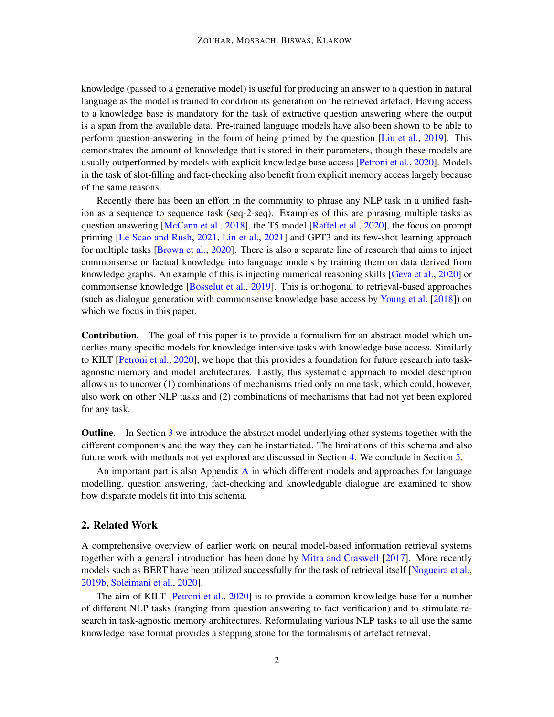knowledge (passed to a generative model) is useful for producing an answer to a question in natural language as the model is trained to condition its generation on the retrieved artefact. Having access to a knowledge base is mandatory for the task of extractive question answering where the output is a span from the available data. Pre-trained language models have also been shown to be able to perform question-answering in the form of being primed by the question [\[Liu et al.,](#page-14-2) [2019\]](#page-14-2). This demonstrates the amount of knowledge that is stored in their parameters, though these models are usually outperformed by models with explicit knowledge base access [\[Petroni et al.,](#page-15-3) [2020\]](#page-15-3). Models in the task of slot-filling and fact-checking also benefit from explicit memory access largely because of the same reasons.

Recently there has been an effort in the community to phrase any NLP task in a unified fashion as a sequence to sequence task (seq-2-seq). Examples of this are phrasing multiple tasks as question answering [\[McCann et al.,](#page-14-3) [2018\]](#page-14-3), the T5 model [\[Raffel et al.,](#page-15-1) [2020\]](#page-15-1), the focus on prompt priming [\[Le Scao and Rush,](#page-13-0) [2021,](#page-13-0) [Lin et al.,](#page-14-4) [2021\]](#page-14-4) and GPT3 and its few-shot learning approach for multiple tasks [\[Brown et al.,](#page-11-0) [2020\]](#page-11-0). There is also a separate line of research that aims to inject commonsense or factual knowledge into language models by training them on data derived from knowledge graphs. An example of this is injecting numerical reasoning skills [\[Geva et al.,](#page-12-1) [2020\]](#page-12-1) or commonsense knowledge [\[Bosselut et al.,](#page-11-3) [2019\]](#page-11-3). This is orthogonal to retrieval-based approaches (such as dialogue generation with commonsense knowledge base access by [Young et al.](#page-17-0) [\[2018\]](#page-17-0)) on which we focus in this paper.

Contribution. The goal of this paper is to provide a formalism for an abstract model which underlies many specific models for knowledge-intensive tasks with knowledge base access. Similarly to KILT [\[Petroni et al.,](#page-15-3) [2020\]](#page-15-3), we hope that this provides a foundation for future research into taskagnostic memory and model architectures. Lastly, this systematic approach to model description allows us to uncover (1) combinations of mechanisms tried only on one task, which could, however, also work on other NLP tasks and (2) combinations of mechanisms that had not yet been explored for any task.

Outline. In Section [3](#page-2-0) we introduce the abstract model underlying other systems together with the different components and the way they can be instantiated. The limitations of this schema and also future work with methods not yet explored are discussed in Section [4.](#page-8-0) We conclude in Section [5.](#page-10-0)

[A](#page-0-0)n important part is also Appendix  $A$  in which different models and approaches for language modelling, question answering, fact-checking and knowledgable dialogue are examined to show how disparate models fit into this schema.

### 2. Related Work

A comprehensive overview of earlier work on neural model-based information retrieval systems together with a general introduction has been done by [Mitra and Craswell](#page-14-5) [\[2017\]](#page-14-5). More recently models such as BERT have been utilized successfully for the task of retrieval itself [\[Nogueira et al.,](#page-15-4) [2019b,](#page-15-4) [Soleimani et al.,](#page-16-0) [2020\]](#page-16-0).

The aim of KILT [\[Petroni et al.,](#page-15-3) [2020\]](#page-15-3) is to provide a common knowledge base for a number of different NLP tasks (ranging from question answering to fact verification) and to stimulate research in task-agnostic memory architectures. Reformulating various NLP tasks to all use the same knowledge base format provides a stepping stone for the formalisms of artefact retrieval.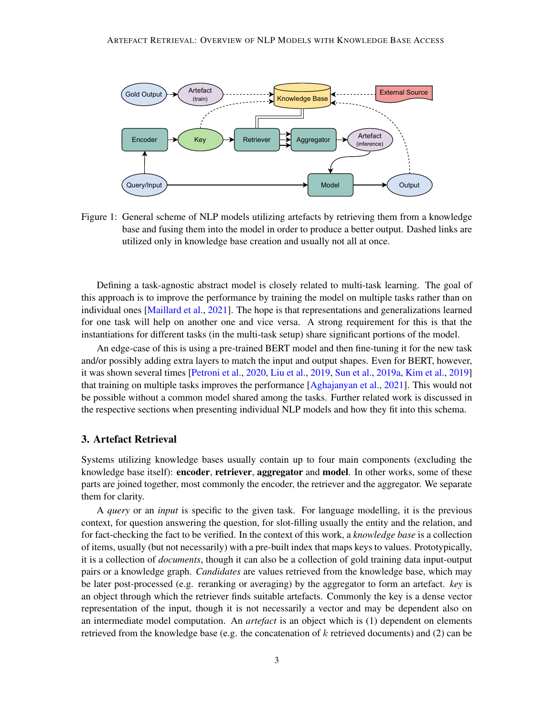

<span id="page-2-1"></span>Figure 1: General scheme of NLP models utilizing artefacts by retrieving them from a knowledge base and fusing them into the model in order to produce a better output. Dashed links are utilized only in knowledge base creation and usually not all at once.

Defining a task-agnostic abstract model is closely related to multi-task learning. The goal of this approach is to improve the performance by training the model on multiple tasks rather than on individual ones [\[Maillard et al.,](#page-14-6) [2021\]](#page-14-6). The hope is that representations and generalizations learned for one task will help on another one and vice versa. A strong requirement for this is that the instantiations for different tasks (in the multi-task setup) share significant portions of the model.

An edge-case of this is using a pre-trained BERT model and then fine-tuning it for the new task and/or possibly adding extra layers to match the input and output shapes. Even for BERT, however, it was shown several times [\[Petroni et al.,](#page-15-3) [2020,](#page-15-3) [Liu et al.,](#page-14-2) [2019,](#page-14-2) [Sun et al.,](#page-16-1) [2019a,](#page-16-1) [Kim et al.,](#page-13-1) [2019\]](#page-13-1) that training on multiple tasks improves the performance [\[Aghajanyan et al.,](#page-10-1) [2021\]](#page-10-1). This would not be possible without a common model shared among the tasks. Further related work is discussed in the respective sections when presenting individual NLP models and how they fit into this schema.

### <span id="page-2-0"></span>3. Artefact Retrieval

Systems utilizing knowledge bases usually contain up to four main components (excluding the knowledge base itself): encoder, retriever, aggregator and model. In other works, some of these parts are joined together, most commonly the encoder, the retriever and the aggregator. We separate them for clarity.

A *query* or an *input* is specific to the given task. For language modelling, it is the previous context, for question answering the question, for slot-filling usually the entity and the relation, and for fact-checking the fact to be verified. In the context of this work, a *knowledge base* is a collection of items, usually (but not necessarily) with a pre-built index that maps keys to values. Prototypically, it is a collection of *documents*, though it can also be a collection of gold training data input-output pairs or a knowledge graph. *Candidates* are values retrieved from the knowledge base, which may be later post-processed (e.g. reranking or averaging) by the aggregator to form an artefact. *key* is an object through which the retriever finds suitable artefacts. Commonly the key is a dense vector representation of the input, though it is not necessarily a vector and may be dependent also on an intermediate model computation. An *artefact* is an object which is (1) dependent on elements retrieved from the knowledge base (e.g. the concatenation of k retrieved documents) and (2) can be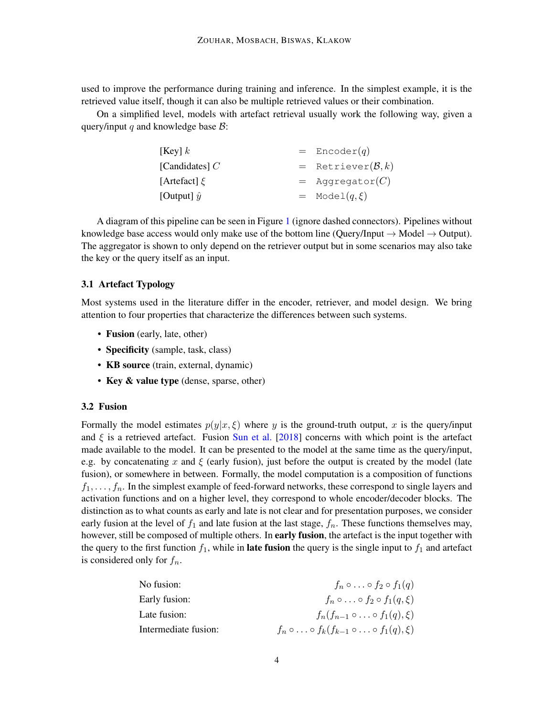used to improve the performance during training and inference. In the simplest example, it is the retrieved value itself, though it can also be multiple retrieved values or their combination.

On a simplified level, models with artefact retrieval usually work the following way, given a query/input q and knowledge base  $\mathcal{B}$ :

| [Key] $k$          | $=$ Encoder(q)           |
|--------------------|--------------------------|
| [Candidates] $C$   | $=$ Retriever $(B, k)$   |
| [Artefact] $\xi$   | $=$ Aggregator(C)        |
| [Output] $\hat{y}$ | $= \text{Model}(q, \xi)$ |

A diagram of this pipeline can be seen in Figure [1](#page-2-1) (ignore dashed connectors). Pipelines without knowledge base access would only make use of the bottom line (Query/Input  $\rightarrow$  Model  $\rightarrow$  Output). The aggregator is shown to only depend on the retriever output but in some scenarios may also take the key or the query itself as an input.

# 3.1 Artefact Typology

Most systems used in the literature differ in the encoder, retriever, and model design. We bring attention to four properties that characterize the differences between such systems.

- Fusion (early, late, other)
- Specificity (sample, task, class)
- KB source (train, external, dynamic)
- Key & value type (dense, sparse, other)

### <span id="page-3-0"></span>3.2 Fusion

Formally the model estimates  $p(y|x,\xi)$  where y is the ground-truth output, x is the query/input and  $\xi$  is a retrieved artefact. Fusion [Sun et al.](#page-16-2) [\[2018\]](#page-16-2) concerns with which point is the artefact made available to the model. It can be presented to the model at the same time as the query/input, e.g. by concatenating x and  $\xi$  (early fusion), just before the output is created by the model (late fusion), or somewhere in between. Formally, the model computation is a composition of functions  $f_1, \ldots, f_n$ . In the simplest example of feed-forward networks, these correspond to single layers and activation functions and on a higher level, they correspond to whole encoder/decoder blocks. The distinction as to what counts as early and late is not clear and for presentation purposes, we consider early fusion at the level of  $f_1$  and late fusion at the last stage,  $f_n$ . These functions themselves may, however, still be composed of multiple others. In early fusion, the artefact is the input together with the query to the first function  $f_1$ , while in **late fusion** the query is the single input to  $f_1$  and artefact is considered only for  $f_n$ .

| No fusion:           | $f_n \circ \ldots \circ f_2 \circ f_1(q)$                            |
|----------------------|----------------------------------------------------------------------|
| Early fusion:        | $f_n \circ \ldots \circ f_2 \circ f_1(q,\xi)$                        |
| Late fusion:         | $f_n(f_{n-1}\circ\ldots\circ f_1(q),\xi)$                            |
| Intermediate fusion: | $f_n \circ \ldots \circ f_k(f_{k-1} \circ \ldots \circ f_1(q), \xi)$ |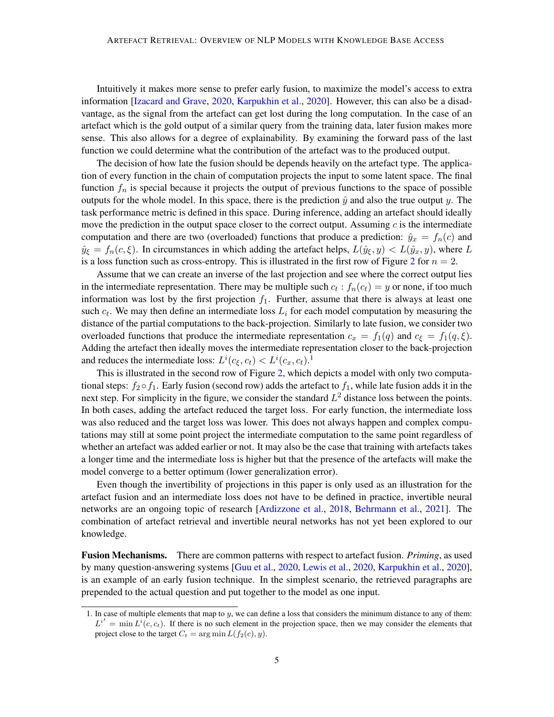Intuitively it makes more sense to prefer early fusion, to maximize the model's access to extra information [\[Izacard and Grave,](#page-12-2) [2020,](#page-12-2) [Karpukhin et al.,](#page-13-2) [2020\]](#page-13-2). However, this can also be a disadvantage, as the signal from the artefact can get lost during the long computation. In the case of an artefact which is the gold output of a similar query from the training data, later fusion makes more sense. This also allows for a degree of explainability. By examining the forward pass of the last function we could determine what the contribution of the artefact was to the produced output.

The decision of how late the fusion should be depends heavily on the artefact type. The application of every function in the chain of computation projects the input to some latent space. The final function  $f_n$  is special because it projects the output of previous functions to the space of possible outputs for the whole model. In this space, there is the prediction  $\hat{y}$  and also the true output y. The task performance metric is defined in this space. During inference, adding an artefact should ideally move the prediction in the output space closer to the correct output. Assuming  $c$  is the intermediate computation and there are two (overloaded) functions that produce a prediction:  $\hat{y}_x = f_n(c)$  and  $\hat{y}_{\xi} = f_n(c, \xi)$ . In circumstances in which adding the artefact helps,  $L(\hat{y}_{\xi}, y) < L(\hat{y}_x, y)$ , where L is a loss function such as cross-entropy. This is illustrated in the first row of Figure [2](#page-5-0) for  $n = 2$ .

Assume that we can create an inverse of the last projection and see where the correct output lies in the intermediate representation. There may be multiple such  $c_t : f_n(c_t) = y$  or none, if too much information was lost by the first projection  $f_1$ . Further, assume that there is always at least one such  $c_t$ . We may then define an intermediate loss  $L_i$  for each model computation by measuring the distance of the partial computations to the back-projection. Similarly to late fusion, we consider two overloaded functions that produce the intermediate representation  $c_x = f_1(q)$  and  $c_{\xi} = f_1(q,\xi)$ . Adding the artefact then ideally moves the intermediate representation closer to the back-projection and reduces the intermediate loss:  $L^i(c_\xi, c_t) < L^i(c_x, c_t).$ <sup>[1](#page-4-0)</sup>

This is illustrated in the second row of Figure [2,](#page-5-0) which depicts a model with only two computational steps:  $f_2 \circ f_1$ . Early fusion (second row) adds the artefact to  $f_1$ , while late fusion adds it in the next step. For simplicity in the figure, we consider the standard  $L^2$  distance loss between the points. In both cases, adding the artefact reduced the target loss. For early function, the intermediate loss was also reduced and the target loss was lower. This does not always happen and complex computations may still at some point project the intermediate computation to the same point regardless of whether an artefact was added earlier or not. It may also be the case that training with artefacts takes a longer time and the intermediate loss is higher but that the presence of the artefacts will make the model converge to a better optimum (lower generalization error).

Even though the invertibility of projections in this paper is only used as an illustration for the artefact fusion and an intermediate loss does not have to be defined in practice, invertible neural networks are an ongoing topic of research [\[Ardizzone et al.,](#page-10-2) [2018,](#page-10-2) [Behrmann et al.,](#page-11-4) [2021\]](#page-11-4). The combination of artefact retrieval and invertible neural networks has not yet been explored to our knowledge.

Fusion Mechanisms. There are common patterns with respect to artefact fusion. *Priming*, as used by many question-answering systems [\[Guu et al.,](#page-12-3) [2020,](#page-12-3) [Lewis et al.,](#page-13-3) [2020,](#page-13-3) [Karpukhin et al.,](#page-13-2) [2020\]](#page-13-2), is an example of an early fusion technique. In the simplest scenario, the retrieved paragraphs are prepended to the actual question and put together to the model as one input.

<span id="page-4-0"></span><sup>1.</sup> In case of multiple elements that map to  $y$ , we can define a loss that considers the minimum distance to any of them:  $L^{i'} = \min L^{i}(c, c_t)$ . If there is no such element in the projection space, then we may consider the elements that project close to the target  $C_t = \arg \min L(f_2(c), y)$ .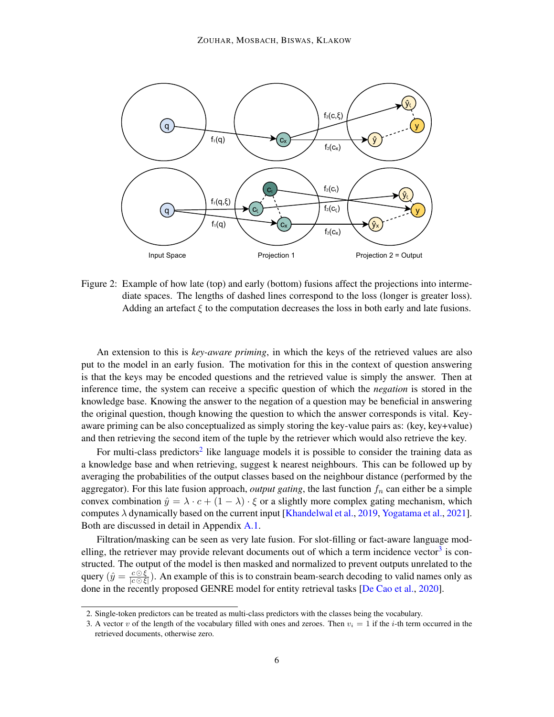

<span id="page-5-0"></span>Figure 2: Example of how late (top) and early (bottom) fusions affect the projections into intermediate spaces. The lengths of dashed lines correspond to the loss (longer is greater loss). Adding an artefact  $\xi$  to the computation decreases the loss in both early and late fusions.

An extension to this is *key-aware priming*, in which the keys of the retrieved values are also put to the model in an early fusion. The motivation for this in the context of question answering is that the keys may be encoded questions and the retrieved value is simply the answer. Then at inference time, the system can receive a specific question of which the *negation* is stored in the knowledge base. Knowing the answer to the negation of a question may be beneficial in answering the original question, though knowing the question to which the answer corresponds is vital. Keyaware priming can be also conceptualized as simply storing the key-value pairs as: (key, key+value) and then retrieving the second item of the tuple by the retriever which would also retrieve the key.

For multi-class predictors<sup>[2](#page-5-1)</sup> like language models it is possible to consider the training data as a knowledge base and when retrieving, suggest k nearest neighbours. This can be followed up by averaging the probabilities of the output classes based on the neighbour distance (performed by the aggregator). For this late fusion approach, *output gating*, the last function  $f_n$  can either be a simple convex combination  $\hat{y} = \lambda \cdot c + (1 - \lambda) \cdot \xi$  or a slightly more complex gating mechanism, which computes  $\lambda$  dynamically based on the current input [\[Khandelwal et al.,](#page-13-4) [2019,](#page-13-4) [Yogatama et al.,](#page-17-1) [2021\]](#page-17-1). Both are discussed in detail in Appendix [A.1.](#page-18-0)

Filtration/masking can be seen as very late fusion. For slot-filling or fact-aware language mod-elling, the retriever may provide relevant documents out of which a term incidence vector<sup>[3](#page-5-2)</sup> is constructed. The output of the model is then masked and normalized to prevent outputs unrelated to the query  $(\hat{y} = \frac{c \odot \xi}{\log \xi})$  $\frac{c \cup \xi}{|c \cap \xi|}$ ). An example of this is to constrain beam-search decoding to valid names only as done in the recently proposed GENRE model for entity retrieval tasks [\[De Cao et al.,](#page-12-4) [2020\]](#page-12-4).

<span id="page-5-1"></span><sup>2.</sup> Single-token predictors can be treated as multi-class predictors with the classes being the vocabulary.

<span id="page-5-2"></span><sup>3.</sup> A vector v of the length of the vocabulary filled with ones and zeroes. Then  $v_i = 1$  if the *i*-th term occurred in the retrieved documents, otherwise zero.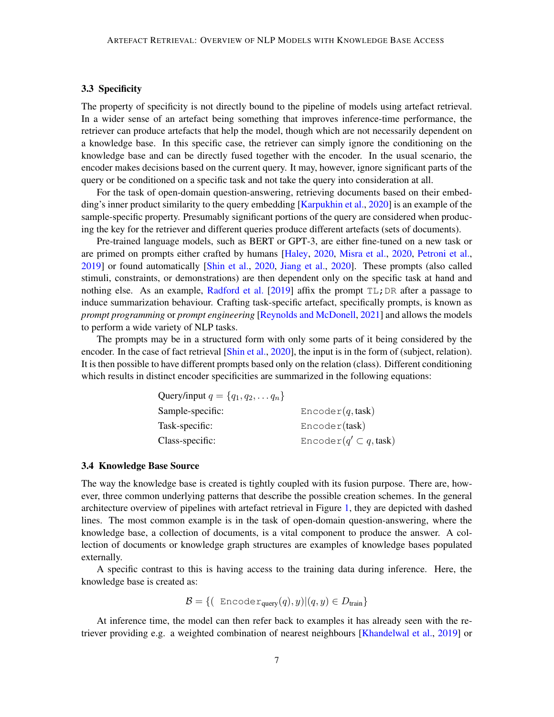# 3.3 Specificity

The property of specificity is not directly bound to the pipeline of models using artefact retrieval. In a wider sense of an artefact being something that improves inference-time performance, the retriever can produce artefacts that help the model, though which are not necessarily dependent on a knowledge base. In this specific case, the retriever can simply ignore the conditioning on the knowledge base and can be directly fused together with the encoder. In the usual scenario, the encoder makes decisions based on the current query. It may, however, ignore significant parts of the query or be conditioned on a specific task and not take the query into consideration at all.

For the task of open-domain question-answering, retrieving documents based on their embed-ding's inner product similarity to the query embedding [\[Karpukhin et al.,](#page-13-2) [2020\]](#page-13-2) is an example of the sample-specific property. Presumably significant portions of the query are considered when producing the key for the retriever and different queries produce different artefacts (sets of documents).

Pre-trained language models, such as BERT or GPT-3, are either fine-tuned on a new task or are primed on prompts either crafted by humans [\[Haley,](#page-12-5) [2020,](#page-12-5) [Misra et al.,](#page-14-7) [2020,](#page-14-7) [Petroni et al.,](#page-15-5) [2019\]](#page-15-5) or found automatically [\[Shin et al.,](#page-16-3) [2020,](#page-16-3) [Jiang et al.,](#page-13-5) [2020\]](#page-13-5). These prompts (also called stimuli, constraints, or demonstrations) are then dependent only on the specific task at hand and nothing else. As an example, [Radford et al.](#page-15-0) [\[2019\]](#page-15-0) affix the prompt  $TL$ ; DR after a passage to induce summarization behaviour. Crafting task-specific artefact, specifically prompts, is known as *prompt programming* or *prompt engineering* [\[Reynolds and McDonell,](#page-15-6) [2021\]](#page-15-6) and allows the models to perform a wide variety of NLP tasks.

The prompts may be in a structured form with only some parts of it being considered by the encoder. In the case of fact retrieval [\[Shin et al.,](#page-16-3) [2020\]](#page-16-3), the input is in the form of (subject, relation). It is then possible to have different prompts based only on the relation (class). Different conditioning which results in distinct encoder specificities are summarized in the following equations:

| Query/input $q = \{q_1, q_2, \ldots q_n\}$ |                                 |
|--------------------------------------------|---------------------------------|
| Sample-specific:                           | Encoder(q, task)                |
| Task-specific:                             | Encoder(task)                   |
| Class-specific:                            | Encoder( $q' \subset q$ , task) |

#### <span id="page-6-0"></span>3.4 Knowledge Base Source

The way the knowledge base is created is tightly coupled with its fusion purpose. There are, however, three common underlying patterns that describe the possible creation schemes. In the general architecture overview of pipelines with artefact retrieval in Figure [1,](#page-2-1) they are depicted with dashed lines. The most common example is in the task of open-domain question-answering, where the knowledge base, a collection of documents, is a vital component to produce the answer. A collection of documents or knowledge graph structures are examples of knowledge bases populated externally.

A specific contrast to this is having access to the training data during inference. Here, the knowledge base is created as:

 $\mathcal{B} = \{ ( \text{Encoder}_{query}(q), y) | (q, y) \in D_{train} \}$ 

At inference time, the model can then refer back to examples it has already seen with the retriever providing e.g. a weighted combination of nearest neighbours [\[Khandelwal et al.,](#page-13-4) [2019\]](#page-13-4) or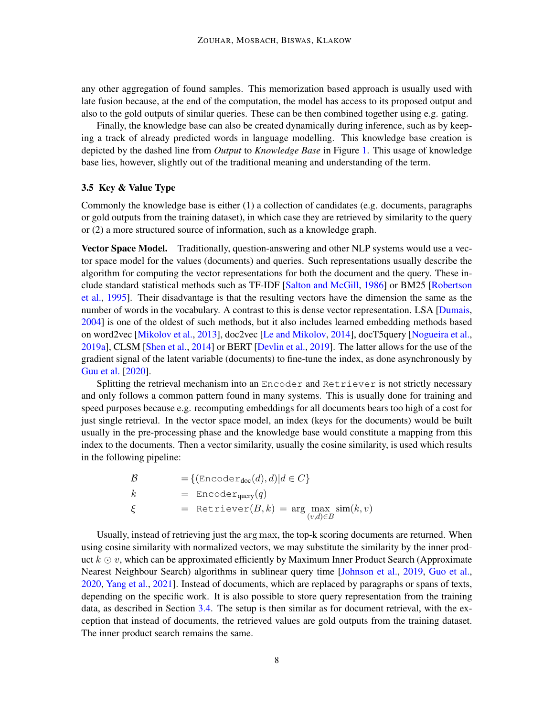any other aggregation of found samples. This memorization based approach is usually used with late fusion because, at the end of the computation, the model has access to its proposed output and also to the gold outputs of similar queries. These can be then combined together using e.g. gating.

Finally, the knowledge base can also be created dynamically during inference, such as by keeping a track of already predicted words in language modelling. This knowledge base creation is depicted by the dashed line from *Output* to *Knowledge Base* in Figure [1.](#page-2-1) This usage of knowledge base lies, however, slightly out of the traditional meaning and understanding of the term.

# 3.5 Key & Value Type

Commonly the knowledge base is either (1) a collection of candidates (e.g. documents, paragraphs or gold outputs from the training dataset), in which case they are retrieved by similarity to the query or (2) a more structured source of information, such as a knowledge graph.

Vector Space Model. Traditionally, question-answering and other NLP systems would use a vector space model for the values (documents) and queries. Such representations usually describe the algorithm for computing the vector representations for both the document and the query. These include standard statistical methods such as TF-IDF [\[Salton and McGill,](#page-15-7) [1986\]](#page-15-7) or BM25 [\[Robertson](#page-15-8) [et al.,](#page-15-8) [1995\]](#page-15-8). Their disadvantage is that the resulting vectors have the dimension the same as the number of words in the vocabulary. A contrast to this is dense vector representation. LSA [\[Dumais,](#page-12-6) [2004\]](#page-12-6) is one of the oldest of such methods, but it also includes learned embedding methods based on word2vec [\[Mikolov et al.,](#page-14-8) [2013\]](#page-14-8), doc2vec [\[Le and Mikolov,](#page-13-6) [2014\]](#page-13-6), docT5query [\[Nogueira et al.,](#page-15-9) [2019a\]](#page-15-9), CLSM [\[Shen et al.,](#page-16-4) [2014\]](#page-16-4) or BERT [\[Devlin et al.,](#page-12-0) [2019\]](#page-12-0). The latter allows for the use of the gradient signal of the latent variable (documents) to fine-tune the index, as done asynchronously by [Guu et al.](#page-12-3) [\[2020\]](#page-12-3).

Splitting the retrieval mechanism into an Encoder and Retriever is not strictly necessary and only follows a common pattern found in many systems. This is usually done for training and speed purposes because e.g. recomputing embeddings for all documents bears too high of a cost for just single retrieval. In the vector space model, an index (keys for the documents) would be built usually in the pre-processing phase and the knowledge base would constitute a mapping from this index to the documents. Then a vector similarity, usually the cosine similarity, is used which results in the following pipeline:

$$
\mathcal{B} = \{ (\text{Encoder}_{doc}(d), d) | d \in C \}
$$
\n
$$
k = \text{Encoder}_{query}(q)
$$
\n
$$
\xi = \text{Retrieve}(B, k) = \arg \max_{(v, d) \in B} \sin(k, v)
$$

Usually, instead of retrieving just the arg max, the top-k scoring documents are returned. When using cosine similarity with normalized vectors, we may substitute the similarity by the inner product  $k \odot v$ , which can be approximated efficiently by Maximum Inner Product Search (Approximate Nearest Neighbour Search) algorithms in sublinear query time [\[Johnson et al.,](#page-13-7) [2019,](#page-13-7) [Guo et al.,](#page-12-7) [2020,](#page-12-7) [Yang et al.,](#page-17-2) [2021\]](#page-17-2). Instead of documents, which are replaced by paragraphs or spans of texts, depending on the specific work. It is also possible to store query representation from the training data, as described in Section [3.4.](#page-6-0) The setup is then similar as for document retrieval, with the exception that instead of documents, the retrieved values are gold outputs from the training dataset. The inner product search remains the same.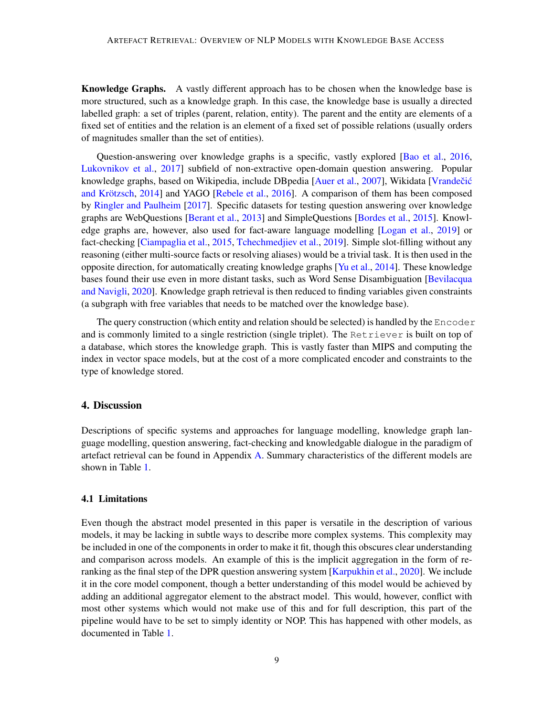Knowledge Graphs. A vastly different approach has to be chosen when the knowledge base is more structured, such as a knowledge graph. In this case, the knowledge base is usually a directed labelled graph: a set of triples (parent, relation, entity). The parent and the entity are elements of a fixed set of entities and the relation is an element of a fixed set of possible relations (usually orders of magnitudes smaller than the set of entities).

Question-answering over knowledge graphs is a specific, vastly explored [\[Bao et al.,](#page-11-5) [2016,](#page-11-5) [Lukovnikov et al.,](#page-14-9) [2017\]](#page-14-9) subfield of non-extractive open-domain question answering. Popular knowledge graphs, based on Wikipedia, include DBpedia [\[Auer et al.,](#page-10-3) [2007\]](#page-10-3), Wikidata [Vrandečić and Krötzsch,  $2014$ ] and YAGO [\[Rebele et al.,](#page-15-10)  $2016$ ]. A comparison of them has been composed by [Ringler and Paulheim](#page-15-11) [\[2017\]](#page-15-11). Specific datasets for testing question answering over knowledge graphs are WebQuestions [\[Berant et al.,](#page-11-6) [2013\]](#page-11-6) and SimpleQuestions [\[Bordes et al.,](#page-11-7) [2015\]](#page-11-7). Knowledge graphs are, however, also used for fact-aware language modelling [\[Logan et al.,](#page-14-0) [2019\]](#page-14-0) or fact-checking [\[Ciampaglia et al.,](#page-11-8) [2015,](#page-11-8) [Tchechmedjiev et al.,](#page-16-6) [2019\]](#page-16-6). Simple slot-filling without any reasoning (either multi-source facts or resolving aliases) would be a trivial task. It is then used in the opposite direction, for automatically creating knowledge graphs [\[Yu et al.,](#page-17-3) [2014\]](#page-17-3). These knowledge bases found their use even in more distant tasks, such as Word Sense Disambiguation [\[Bevilacqua](#page-11-9) [and Navigli,](#page-11-9) [2020\]](#page-11-9). Knowledge graph retrieval is then reduced to finding variables given constraints (a subgraph with free variables that needs to be matched over the knowledge base).

The query construction (which entity and relation should be selected) is handled by the  $Encoder$ and is commonly limited to a single restriction (single triplet). The Retriever is built on top of a database, which stores the knowledge graph. This is vastly faster than MIPS and computing the index in vector space models, but at the cost of a more complicated encoder and constraints to the type of knowledge stored.

# <span id="page-8-0"></span>4. Discussion

Descriptions of specific systems and approaches for language modelling, knowledge graph language modelling, question answering, fact-checking and knowledgable dialogue in the paradigm of artefact retrieval can be found in Appendix [A.](#page-0-0) Summary characteristics of the different models are shown in Table [1.](#page-9-0)

#### 4.1 Limitations

Even though the abstract model presented in this paper is versatile in the description of various models, it may be lacking in subtle ways to describe more complex systems. This complexity may be included in one of the components in order to make it fit, though this obscures clear understanding and comparison across models. An example of this is the implicit aggregation in the form of re-ranking as the final step of the DPR question answering system [\[Karpukhin et al.,](#page-13-2) [2020\]](#page-13-2). We include it in the core model component, though a better understanding of this model would be achieved by adding an additional aggregator element to the abstract model. This would, however, conflict with most other systems which would not make use of this and for full description, this part of the pipeline would have to be set to simply identity or NOP. This has happened with other models, as documented in Table [1.](#page-9-0)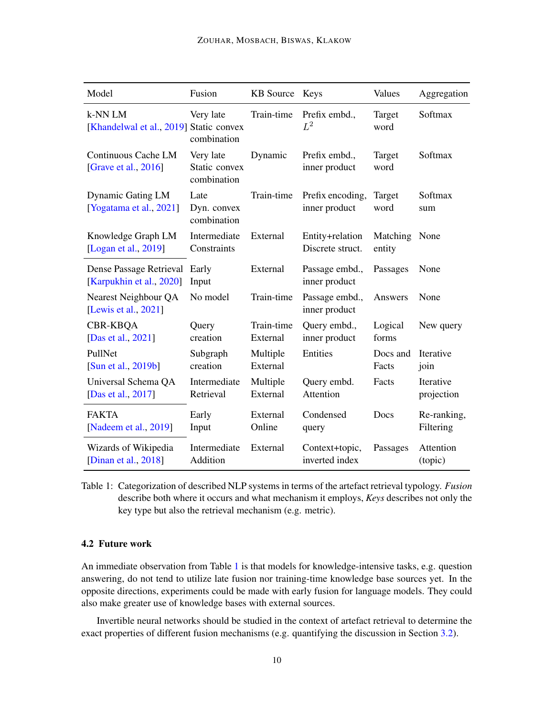| Model                                               | Fusion                                    | <b>KB</b> Source       | Keys                                | Values             | Aggregation              |
|-----------------------------------------------------|-------------------------------------------|------------------------|-------------------------------------|--------------------|--------------------------|
| k-NN LM<br>[Khandelwal et al., 2019] Static convex  | Very late<br>combination                  | Train-time             | Prefix embd.,<br>$L^2$              | Target<br>word     | Softmax                  |
| Continuous Cache LM<br>[Grave et al., 2016]         | Very late<br>Static convex<br>combination | Dynamic                | Prefix embd.,<br>inner product      | Target<br>word     | Softmax                  |
| Dynamic Gating LM<br>[Yogatama et al., 2021]        | Late<br>Dyn. convex<br>combination        | Train-time             | Prefix encoding,<br>inner product   | Target<br>word     | Softmax<br>sum           |
| Knowledge Graph LM<br>[Logan et al., 2019]          | Intermediate<br>Constraints               | External               | Entity+relation<br>Discrete struct. | Matching<br>entity | None                     |
| Dense Passage Retrieval<br>[Karpukhin et al., 2020] | Early<br>Input                            | External               | Passage embd.,<br>inner product     | Passages           | None                     |
| Nearest Neighbour QA<br>[Lewis et al., 2021]        | No model                                  | Train-time             | Passage embd.,<br>inner product     | Answers            | None                     |
| <b>CBR-KBOA</b><br>[Das et al., 2021]               | Query<br>creation                         | Train-time<br>External | Query embd.,<br>inner product       | Logical<br>forms   | New query                |
| PullNet<br>[Sun et al., 2019b]                      | Subgraph<br>creation                      | Multiple<br>External   | Entities                            | Docs and<br>Facts  | Iterative<br>join        |
| Universal Schema QA<br>[Das et al., 2017]           | Intermediate<br>Retrieval                 | Multiple<br>External   | Query embd.<br>Attention            | Facts              | Iterative<br>projection  |
| <b>FAKTA</b><br>[Nadeem et al., 2019]               | Early<br>Input                            | External<br>Online     | Condensed<br>query                  | Docs               | Re-ranking,<br>Filtering |
| Wizards of Wikipedia<br>[Dinan et al., $2018$ ]     | Intermediate<br>Addition                  | External               | Context+topic,<br>inverted index    | Passages           | Attention<br>(topic)     |

<span id="page-9-0"></span>Table 1: Categorization of described NLP systems in terms of the artefact retrieval typology. *Fusion* describe both where it occurs and what mechanism it employs, *Keys* describes not only the key type but also the retrieval mechanism (e.g. metric).

# 4.2 Future work

An immediate observation from Table [1](#page-9-0) is that models for knowledge-intensive tasks, e.g. question answering, do not tend to utilize late fusion nor training-time knowledge base sources yet. In the opposite directions, experiments could be made with early fusion for language models. They could also make greater use of knowledge bases with external sources.

Invertible neural networks should be studied in the context of artefact retrieval to determine the exact properties of different fusion mechanisms (e.g. quantifying the discussion in Section [3.2\)](#page-3-0).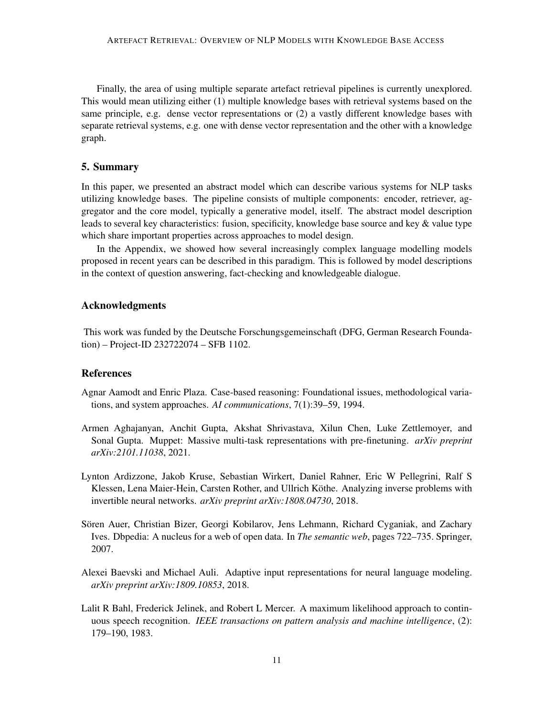Finally, the area of using multiple separate artefact retrieval pipelines is currently unexplored. This would mean utilizing either (1) multiple knowledge bases with retrieval systems based on the same principle, e.g. dense vector representations or (2) a vastly different knowledge bases with separate retrieval systems, e.g. one with dense vector representation and the other with a knowledge graph.

# <span id="page-10-0"></span>5. Summary

In this paper, we presented an abstract model which can describe various systems for NLP tasks utilizing knowledge bases. The pipeline consists of multiple components: encoder, retriever, aggregator and the core model, typically a generative model, itself. The abstract model description leads to several key characteristics: fusion, specificity, knowledge base source and key & value type which share important properties across approaches to model design.

In the Appendix, we showed how several increasingly complex language modelling models proposed in recent years can be described in this paradigm. This is followed by model descriptions in the context of question answering, fact-checking and knowledgeable dialogue.

# Acknowledgments

This work was funded by the Deutsche Forschungsgemeinschaft (DFG, German Research Foundation) – Project-ID 232722074 – SFB 1102.

# References

- <span id="page-10-6"></span>Agnar Aamodt and Enric Plaza. Case-based reasoning: Foundational issues, methodological variations, and system approaches. *AI communications*, 7(1):39–59, 1994.
- <span id="page-10-1"></span>Armen Aghajanyan, Anchit Gupta, Akshat Shrivastava, Xilun Chen, Luke Zettlemoyer, and Sonal Gupta. Muppet: Massive multi-task representations with pre-finetuning. *arXiv preprint arXiv:2101.11038*, 2021.
- <span id="page-10-2"></span>Lynton Ardizzone, Jakob Kruse, Sebastian Wirkert, Daniel Rahner, Eric W Pellegrini, Ralf S Klessen, Lena Maier-Hein, Carsten Rother, and Ullrich Köthe. Analyzing inverse problems with invertible neural networks. *arXiv preprint arXiv:1808.04730*, 2018.
- <span id="page-10-3"></span>Sören Auer, Christian Bizer, Georgi Kobilarov, Jens Lehmann, Richard Cyganiak, and Zachary Ives. Dbpedia: A nucleus for a web of open data. In *The semantic web*, pages 722–735. Springer, 2007.
- <span id="page-10-5"></span>Alexei Baevski and Michael Auli. Adaptive input representations for neural language modeling. *arXiv preprint arXiv:1809.10853*, 2018.
- <span id="page-10-4"></span>Lalit R Bahl, Frederick Jelinek, and Robert L Mercer. A maximum likelihood approach to continuous speech recognition. *IEEE transactions on pattern analysis and machine intelligence*, (2): 179–190, 1983.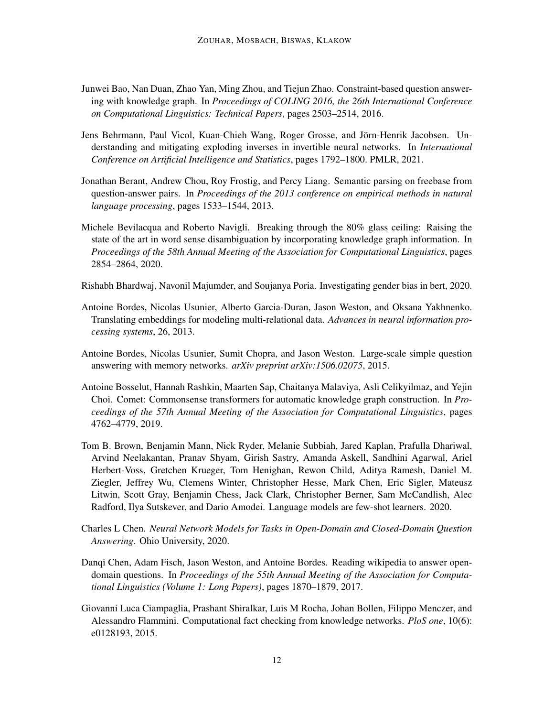- <span id="page-11-5"></span>Junwei Bao, Nan Duan, Zhao Yan, Ming Zhou, and Tiejun Zhao. Constraint-based question answering with knowledge graph. In *Proceedings of COLING 2016, the 26th International Conference on Computational Linguistics: Technical Papers*, pages 2503–2514, 2016.
- <span id="page-11-4"></span>Jens Behrmann, Paul Vicol, Kuan-Chieh Wang, Roger Grosse, and Jorn-Henrik Jacobsen. Un- ¨ derstanding and mitigating exploding inverses in invertible neural networks. In *International Conference on Artificial Intelligence and Statistics*, pages 1792–1800. PMLR, 2021.
- <span id="page-11-6"></span>Jonathan Berant, Andrew Chou, Roy Frostig, and Percy Liang. Semantic parsing on freebase from question-answer pairs. In *Proceedings of the 2013 conference on empirical methods in natural language processing*, pages 1533–1544, 2013.
- <span id="page-11-9"></span>Michele Bevilacqua and Roberto Navigli. Breaking through the 80% glass ceiling: Raising the state of the art in word sense disambiguation by incorporating knowledge graph information. In *Proceedings of the 58th Annual Meeting of the Association for Computational Linguistics*, pages 2854–2864, 2020.

<span id="page-11-2"></span>Rishabh Bhardwaj, Navonil Majumder, and Soujanya Poria. Investigating gender bias in bert, 2020.

- <span id="page-11-10"></span>Antoine Bordes, Nicolas Usunier, Alberto Garcia-Duran, Jason Weston, and Oksana Yakhnenko. Translating embeddings for modeling multi-relational data. *Advances in neural information processing systems*, 26, 2013.
- <span id="page-11-7"></span>Antoine Bordes, Nicolas Usunier, Sumit Chopra, and Jason Weston. Large-scale simple question answering with memory networks. *arXiv preprint arXiv:1506.02075*, 2015.
- <span id="page-11-3"></span>Antoine Bosselut, Hannah Rashkin, Maarten Sap, Chaitanya Malaviya, Asli Celikyilmaz, and Yejin Choi. Comet: Commonsense transformers for automatic knowledge graph construction. In *Proceedings of the 57th Annual Meeting of the Association for Computational Linguistics*, pages 4762–4779, 2019.
- <span id="page-11-0"></span>Tom B. Brown, Benjamin Mann, Nick Ryder, Melanie Subbiah, Jared Kaplan, Prafulla Dhariwal, Arvind Neelakantan, Pranav Shyam, Girish Sastry, Amanda Askell, Sandhini Agarwal, Ariel Herbert-Voss, Gretchen Krueger, Tom Henighan, Rewon Child, Aditya Ramesh, Daniel M. Ziegler, Jeffrey Wu, Clemens Winter, Christopher Hesse, Mark Chen, Eric Sigler, Mateusz Litwin, Scott Gray, Benjamin Chess, Jack Clark, Christopher Berner, Sam McCandlish, Alec Radford, Ilya Sutskever, and Dario Amodei. Language models are few-shot learners. 2020.
- <span id="page-11-1"></span>Charles L Chen. *Neural Network Models for Tasks in Open-Domain and Closed-Domain Question Answering*. Ohio University, 2020.
- <span id="page-11-11"></span>Danqi Chen, Adam Fisch, Jason Weston, and Antoine Bordes. Reading wikipedia to answer opendomain questions. In *Proceedings of the 55th Annual Meeting of the Association for Computational Linguistics (Volume 1: Long Papers)*, pages 1870–1879, 2017.
- <span id="page-11-8"></span>Giovanni Luca Ciampaglia, Prashant Shiralkar, Luis M Rocha, Johan Bollen, Filippo Menczer, and Alessandro Flammini. Computational fact checking from knowledge networks. *PloS one*, 10(6): e0128193, 2015.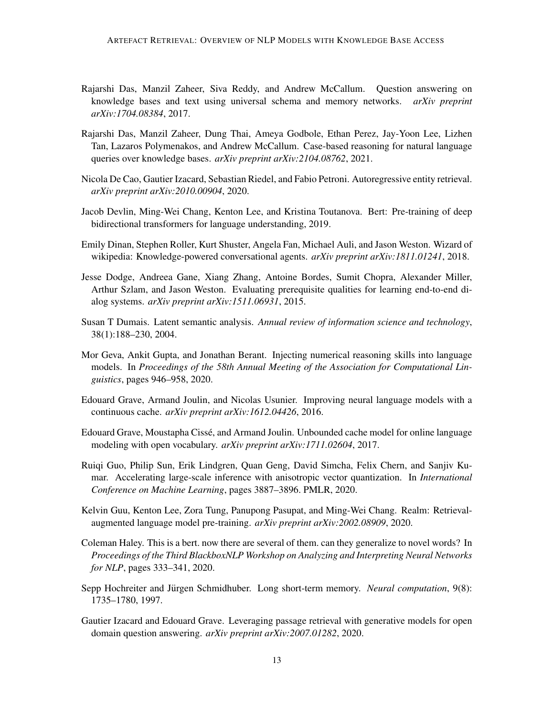- <span id="page-12-10"></span>Rajarshi Das, Manzil Zaheer, Siva Reddy, and Andrew McCallum. Question answering on knowledge bases and text using universal schema and memory networks. *arXiv preprint arXiv:1704.08384*, 2017.
- <span id="page-12-9"></span>Rajarshi Das, Manzil Zaheer, Dung Thai, Ameya Godbole, Ethan Perez, Jay-Yoon Lee, Lizhen Tan, Lazaros Polymenakos, and Andrew McCallum. Case-based reasoning for natural language queries over knowledge bases. *arXiv preprint arXiv:2104.08762*, 2021.
- <span id="page-12-4"></span>Nicola De Cao, Gautier Izacard, Sebastian Riedel, and Fabio Petroni. Autoregressive entity retrieval. *arXiv preprint arXiv:2010.00904*, 2020.
- <span id="page-12-0"></span>Jacob Devlin, Ming-Wei Chang, Kenton Lee, and Kristina Toutanova. Bert: Pre-training of deep bidirectional transformers for language understanding, 2019.
- <span id="page-12-11"></span>Emily Dinan, Stephen Roller, Kurt Shuster, Angela Fan, Michael Auli, and Jason Weston. Wizard of wikipedia: Knowledge-powered conversational agents. *arXiv preprint arXiv:1811.01241*, 2018.
- <span id="page-12-14"></span>Jesse Dodge, Andreea Gane, Xiang Zhang, Antoine Bordes, Sumit Chopra, Alexander Miller, Arthur Szlam, and Jason Weston. Evaluating prerequisite qualities for learning end-to-end dialog systems. *arXiv preprint arXiv:1511.06931*, 2015.
- <span id="page-12-6"></span>Susan T Dumais. Latent semantic analysis. *Annual review of information science and technology*, 38(1):188–230, 2004.
- <span id="page-12-1"></span>Mor Geva, Ankit Gupta, and Jonathan Berant. Injecting numerical reasoning skills into language models. In *Proceedings of the 58th Annual Meeting of the Association for Computational Linguistics*, pages 946–958, 2020.
- <span id="page-12-8"></span>Edouard Grave, Armand Joulin, and Nicolas Usunier. Improving neural language models with a continuous cache. *arXiv preprint arXiv:1612.04426*, 2016.
- <span id="page-12-12"></span>Edouard Grave, Moustapha Cisse, and Armand Joulin. Unbounded cache model for online language ´ modeling with open vocabulary. *arXiv preprint arXiv:1711.02604*, 2017.
- <span id="page-12-7"></span>Ruiqi Guo, Philip Sun, Erik Lindgren, Quan Geng, David Simcha, Felix Chern, and Sanjiv Kumar. Accelerating large-scale inference with anisotropic vector quantization. In *International Conference on Machine Learning*, pages 3887–3896. PMLR, 2020.
- <span id="page-12-3"></span>Kelvin Guu, Kenton Lee, Zora Tung, Panupong Pasupat, and Ming-Wei Chang. Realm: Retrievalaugmented language model pre-training. *arXiv preprint arXiv:2002.08909*, 2020.
- <span id="page-12-5"></span>Coleman Haley. This is a bert. now there are several of them. can they generalize to novel words? In *Proceedings of the Third BlackboxNLP Workshop on Analyzing and Interpreting Neural Networks for NLP*, pages 333–341, 2020.
- <span id="page-12-13"></span>Sepp Hochreiter and Jürgen Schmidhuber. Long short-term memory. *Neural computation*, 9(8): 1735–1780, 1997.
- <span id="page-12-2"></span>Gautier Izacard and Edouard Grave. Leveraging passage retrieval with generative models for open domain question answering. *arXiv preprint arXiv:2007.01282*, 2020.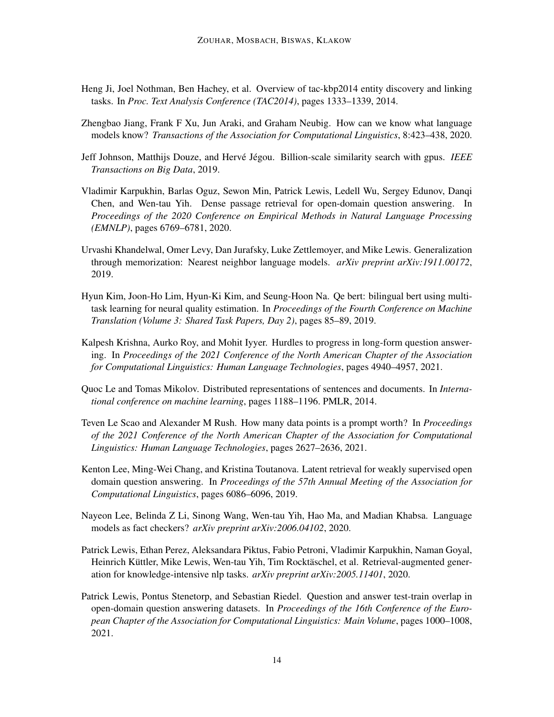- <span id="page-13-11"></span>Heng Ji, Joel Nothman, Ben Hachey, et al. Overview of tac-kbp2014 entity discovery and linking tasks. In *Proc. Text Analysis Conference (TAC2014)*, pages 1333–1339, 2014.
- <span id="page-13-5"></span>Zhengbao Jiang, Frank F Xu, Jun Araki, and Graham Neubig. How can we know what language models know? *Transactions of the Association for Computational Linguistics*, 8:423–438, 2020.
- <span id="page-13-7"></span>Jeff Johnson, Matthijs Douze, and Hervé Jégou. Billion-scale similarity search with gpus. *IEEE Transactions on Big Data*, 2019.
- <span id="page-13-2"></span>Vladimir Karpukhin, Barlas Oguz, Sewon Min, Patrick Lewis, Ledell Wu, Sergey Edunov, Danqi Chen, and Wen-tau Yih. Dense passage retrieval for open-domain question answering. In *Proceedings of the 2020 Conference on Empirical Methods in Natural Language Processing (EMNLP)*, pages 6769–6781, 2020.
- <span id="page-13-4"></span>Urvashi Khandelwal, Omer Levy, Dan Jurafsky, Luke Zettlemoyer, and Mike Lewis. Generalization through memorization: Nearest neighbor language models. *arXiv preprint arXiv:1911.00172*, 2019.
- <span id="page-13-1"></span>Hyun Kim, Joon-Ho Lim, Hyun-Ki Kim, and Seung-Hoon Na. Qe bert: bilingual bert using multitask learning for neural quality estimation. In *Proceedings of the Fourth Conference on Machine Translation (Volume 3: Shared Task Papers, Day 2)*, pages 85–89, 2019.
- <span id="page-13-9"></span>Kalpesh Krishna, Aurko Roy, and Mohit Iyyer. Hurdles to progress in long-form question answering. In *Proceedings of the 2021 Conference of the North American Chapter of the Association for Computational Linguistics: Human Language Technologies*, pages 4940–4957, 2021.
- <span id="page-13-6"></span>Quoc Le and Tomas Mikolov. Distributed representations of sentences and documents. In *International conference on machine learning*, pages 1188–1196. PMLR, 2014.
- <span id="page-13-0"></span>Teven Le Scao and Alexander M Rush. How many data points is a prompt worth? In *Proceedings of the 2021 Conference of the North American Chapter of the Association for Computational Linguistics: Human Language Technologies*, pages 2627–2636, 2021.
- <span id="page-13-10"></span>Kenton Lee, Ming-Wei Chang, and Kristina Toutanova. Latent retrieval for weakly supervised open domain question answering. In *Proceedings of the 57th Annual Meeting of the Association for Computational Linguistics*, pages 6086–6096, 2019.
- <span id="page-13-12"></span>Nayeon Lee, Belinda Z Li, Sinong Wang, Wen-tau Yih, Hao Ma, and Madian Khabsa. Language models as fact checkers? *arXiv preprint arXiv:2006.04102*, 2020.
- <span id="page-13-3"></span>Patrick Lewis, Ethan Perez, Aleksandara Piktus, Fabio Petroni, Vladimir Karpukhin, Naman Goyal, Heinrich Küttler, Mike Lewis, Wen-tau Yih, Tim Rocktäschel, et al. Retrieval-augmented generation for knowledge-intensive nlp tasks. *arXiv preprint arXiv:2005.11401*, 2020.
- <span id="page-13-8"></span>Patrick Lewis, Pontus Stenetorp, and Sebastian Riedel. Question and answer test-train overlap in open-domain question answering datasets. In *Proceedings of the 16th Conference of the European Chapter of the Association for Computational Linguistics: Main Volume*, pages 1000–1008, 2021.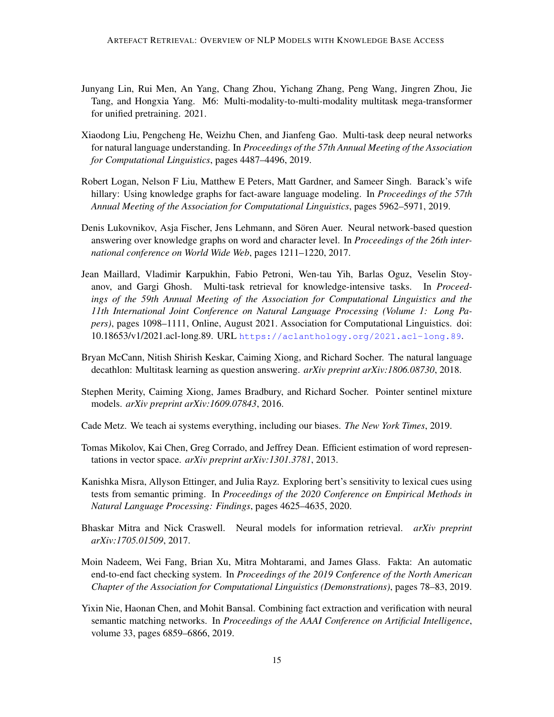- <span id="page-14-4"></span>Junyang Lin, Rui Men, An Yang, Chang Zhou, Yichang Zhang, Peng Wang, Jingren Zhou, Jie Tang, and Hongxia Yang. M6: Multi-modality-to-multi-modality multitask mega-transformer for unified pretraining. 2021.
- <span id="page-14-2"></span>Xiaodong Liu, Pengcheng He, Weizhu Chen, and Jianfeng Gao. Multi-task deep neural networks for natural language understanding. In *Proceedings of the 57th Annual Meeting of the Association for Computational Linguistics*, pages 4487–4496, 2019.
- <span id="page-14-0"></span>Robert Logan, Nelson F Liu, Matthew E Peters, Matt Gardner, and Sameer Singh. Barack's wife hillary: Using knowledge graphs for fact-aware language modeling. In *Proceedings of the 57th Annual Meeting of the Association for Computational Linguistics*, pages 5962–5971, 2019.
- <span id="page-14-9"></span>Denis Lukovnikov, Asja Fischer, Jens Lehmann, and Sören Auer. Neural network-based question answering over knowledge graphs on word and character level. In *Proceedings of the 26th international conference on World Wide Web*, pages 1211–1220, 2017.
- <span id="page-14-6"></span>Jean Maillard, Vladimir Karpukhin, Fabio Petroni, Wen-tau Yih, Barlas Oguz, Veselin Stoyanov, and Gargi Ghosh. Multi-task retrieval for knowledge-intensive tasks. In *Proceedings of the 59th Annual Meeting of the Association for Computational Linguistics and the 11th International Joint Conference on Natural Language Processing (Volume 1: Long Papers)*, pages 1098–1111, Online, August 2021. Association for Computational Linguistics. doi: 10.18653/v1/2021.acl-long.89. URL <https://aclanthology.org/2021.acl-long.89>.
- <span id="page-14-3"></span>Bryan McCann, Nitish Shirish Keskar, Caiming Xiong, and Richard Socher. The natural language decathlon: Multitask learning as question answering. *arXiv preprint arXiv:1806.08730*, 2018.
- <span id="page-14-11"></span>Stephen Merity, Caiming Xiong, James Bradbury, and Richard Socher. Pointer sentinel mixture models. *arXiv preprint arXiv:1609.07843*, 2016.
- <span id="page-14-1"></span>Cade Metz. We teach ai systems everything, including our biases. *The New York Times*, 2019.
- <span id="page-14-8"></span>Tomas Mikolov, Kai Chen, Greg Corrado, and Jeffrey Dean. Efficient estimation of word representations in vector space. *arXiv preprint arXiv:1301.3781*, 2013.
- <span id="page-14-7"></span>Kanishka Misra, Allyson Ettinger, and Julia Rayz. Exploring bert's sensitivity to lexical cues using tests from semantic priming. In *Proceedings of the 2020 Conference on Empirical Methods in Natural Language Processing: Findings*, pages 4625–4635, 2020.
- <span id="page-14-5"></span>Bhaskar Mitra and Nick Craswell. Neural models for information retrieval. *arXiv preprint arXiv:1705.01509*, 2017.
- <span id="page-14-10"></span>Moin Nadeem, Wei Fang, Brian Xu, Mitra Mohtarami, and James Glass. Fakta: An automatic end-to-end fact checking system. In *Proceedings of the 2019 Conference of the North American Chapter of the Association for Computational Linguistics (Demonstrations)*, pages 78–83, 2019.
- <span id="page-14-12"></span>Yixin Nie, Haonan Chen, and Mohit Bansal. Combining fact extraction and verification with neural semantic matching networks. In *Proceedings of the AAAI Conference on Artificial Intelligence*, volume 33, pages 6859–6866, 2019.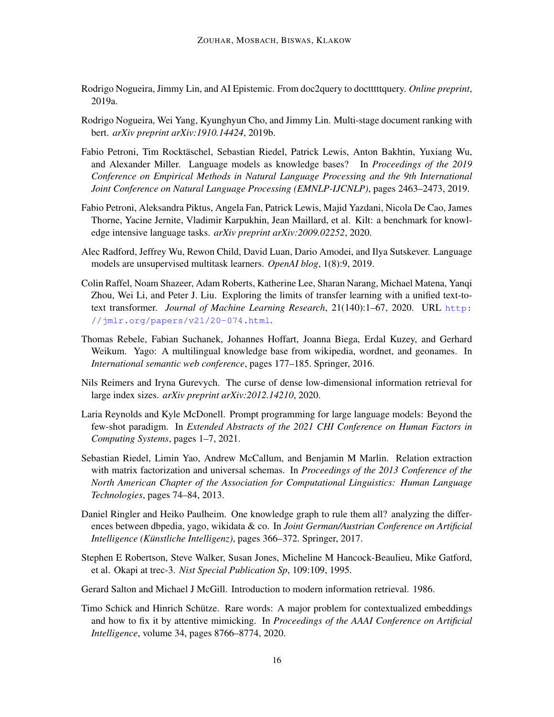- <span id="page-15-9"></span>Rodrigo Nogueira, Jimmy Lin, and AI Epistemic. From doc2query to doctttttquery. *Online preprint*, 2019a.
- <span id="page-15-4"></span>Rodrigo Nogueira, Wei Yang, Kyunghyun Cho, and Jimmy Lin. Multi-stage document ranking with bert. *arXiv preprint arXiv:1910.14424*, 2019b.
- <span id="page-15-5"></span>Fabio Petroni, Tim Rocktäschel, Sebastian Riedel, Patrick Lewis, Anton Bakhtin, Yuxiang Wu, and Alexander Miller. Language models as knowledge bases? In *Proceedings of the 2019 Conference on Empirical Methods in Natural Language Processing and the 9th International Joint Conference on Natural Language Processing (EMNLP-IJCNLP)*, pages 2463–2473, 2019.
- <span id="page-15-3"></span>Fabio Petroni, Aleksandra Piktus, Angela Fan, Patrick Lewis, Majid Yazdani, Nicola De Cao, James Thorne, Yacine Jernite, Vladimir Karpukhin, Jean Maillard, et al. Kilt: a benchmark for knowledge intensive language tasks. *arXiv preprint arXiv:2009.02252*, 2020.
- <span id="page-15-0"></span>Alec Radford, Jeffrey Wu, Rewon Child, David Luan, Dario Amodei, and Ilya Sutskever. Language models are unsupervised multitask learners. *OpenAI blog*, 1(8):9, 2019.
- <span id="page-15-1"></span>Colin Raffel, Noam Shazeer, Adam Roberts, Katherine Lee, Sharan Narang, Michael Matena, Yanqi Zhou, Wei Li, and Peter J. Liu. Exploring the limits of transfer learning with a unified text-totext transformer. *Journal of Machine Learning Research*, 21(140):1–67, 2020. URL [http:](http://jmlr.org/papers/v21/20-074.html) [//jmlr.org/papers/v21/20-074.html](http://jmlr.org/papers/v21/20-074.html).
- <span id="page-15-10"></span>Thomas Rebele, Fabian Suchanek, Johannes Hoffart, Joanna Biega, Erdal Kuzey, and Gerhard Weikum. Yago: A multilingual knowledge base from wikipedia, wordnet, and geonames. In *International semantic web conference*, pages 177–185. Springer, 2016.
- <span id="page-15-12"></span>Nils Reimers and Iryna Gurevych. The curse of dense low-dimensional information retrieval for large index sizes. *arXiv preprint arXiv:2012.14210*, 2020.
- <span id="page-15-6"></span>Laria Reynolds and Kyle McDonell. Prompt programming for large language models: Beyond the few-shot paradigm. In *Extended Abstracts of the 2021 CHI Conference on Human Factors in Computing Systems*, pages 1–7, 2021.
- <span id="page-15-13"></span>Sebastian Riedel, Limin Yao, Andrew McCallum, and Benjamin M Marlin. Relation extraction with matrix factorization and universal schemas. In *Proceedings of the 2013 Conference of the North American Chapter of the Association for Computational Linguistics: Human Language Technologies*, pages 74–84, 2013.
- <span id="page-15-11"></span>Daniel Ringler and Heiko Paulheim. One knowledge graph to rule them all? analyzing the differences between dbpedia, yago, wikidata & co. In *Joint German/Austrian Conference on Artificial Intelligence (Künstliche Intelligenz)*, pages 366–372. Springer, 2017.
- <span id="page-15-8"></span>Stephen E Robertson, Steve Walker, Susan Jones, Micheline M Hancock-Beaulieu, Mike Gatford, et al. Okapi at trec-3. *Nist Special Publication Sp*, 109:109, 1995.
- <span id="page-15-7"></span>Gerard Salton and Michael J McGill. Introduction to modern information retrieval. 1986.
- <span id="page-15-2"></span>Timo Schick and Hinrich Schütze. Rare words: A major problem for contextualized embeddings and how to fix it by attentive mimicking. In *Proceedings of the AAAI Conference on Artificial Intelligence*, volume 34, pages 8766–8774, 2020.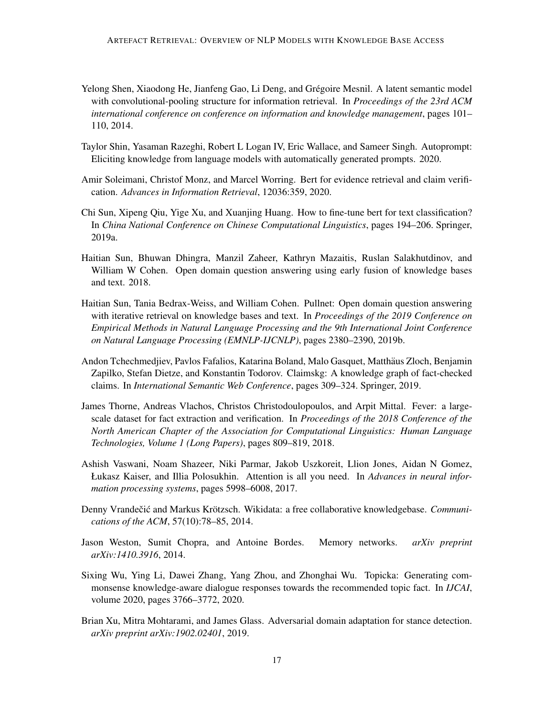- <span id="page-16-4"></span>Yelong Shen, Xiaodong He, Jianfeng Gao, Li Deng, and Grégoire Mesnil. A latent semantic model with convolutional-pooling structure for information retrieval. In *Proceedings of the 23rd ACM international conference on conference on information and knowledge management*, pages 101– 110, 2014.
- <span id="page-16-3"></span>Taylor Shin, Yasaman Razeghi, Robert L Logan IV, Eric Wallace, and Sameer Singh. Autoprompt: Eliciting knowledge from language models with automatically generated prompts. 2020.
- <span id="page-16-0"></span>Amir Soleimani, Christof Monz, and Marcel Worring. Bert for evidence retrieval and claim verification. *Advances in Information Retrieval*, 12036:359, 2020.
- <span id="page-16-1"></span>Chi Sun, Xipeng Qiu, Yige Xu, and Xuanjing Huang. How to fine-tune bert for text classification? In *China National Conference on Chinese Computational Linguistics*, pages 194–206. Springer, 2019a.
- <span id="page-16-2"></span>Haitian Sun, Bhuwan Dhingra, Manzil Zaheer, Kathryn Mazaitis, Ruslan Salakhutdinov, and William W Cohen. Open domain question answering using early fusion of knowledge bases and text. 2018.
- <span id="page-16-7"></span>Haitian Sun, Tania Bedrax-Weiss, and William Cohen. Pullnet: Open domain question answering with iterative retrieval on knowledge bases and text. In *Proceedings of the 2019 Conference on Empirical Methods in Natural Language Processing and the 9th International Joint Conference on Natural Language Processing (EMNLP-IJCNLP)*, pages 2380–2390, 2019b.
- <span id="page-16-6"></span>Andon Tchechmedjiev, Pavlos Fafalios, Katarina Boland, Malo Gasquet, Matthaus Zloch, Benjamin ¨ Zapilko, Stefan Dietze, and Konstantin Todorov. Claimskg: A knowledge graph of fact-checked claims. In *International Semantic Web Conference*, pages 309–324. Springer, 2019.
- <span id="page-16-10"></span>James Thorne, Andreas Vlachos, Christos Christodoulopoulos, and Arpit Mittal. Fever: a largescale dataset for fact extraction and verification. In *Proceedings of the 2018 Conference of the North American Chapter of the Association for Computational Linguistics: Human Language Technologies, Volume 1 (Long Papers)*, pages 809–819, 2018.
- <span id="page-16-8"></span>Ashish Vaswani, Noam Shazeer, Niki Parmar, Jakob Uszkoreit, Llion Jones, Aidan N Gomez, Łukasz Kaiser, and Illia Polosukhin. Attention is all you need. In *Advances in neural information processing systems*, pages 5998–6008, 2017.
- <span id="page-16-5"></span>Denny Vrandečić and Markus Krötzsch. Wikidata: a free collaborative knowledgebase. *Communications of the ACM*, 57(10):78–85, 2014.
- <span id="page-16-9"></span>Jason Weston, Sumit Chopra, and Antoine Bordes. Memory networks. *arXiv preprint arXiv:1410.3916*, 2014.
- <span id="page-16-12"></span>Sixing Wu, Ying Li, Dawei Zhang, Yang Zhou, and Zhonghai Wu. Topicka: Generating commonsense knowledge-aware dialogue responses towards the recommended topic fact. In *IJCAI*, volume 2020, pages 3766–3772, 2020.
- <span id="page-16-11"></span>Brian Xu, Mitra Mohtarami, and James Glass. Adversarial domain adaptation for stance detection. *arXiv preprint arXiv:1902.02401*, 2019.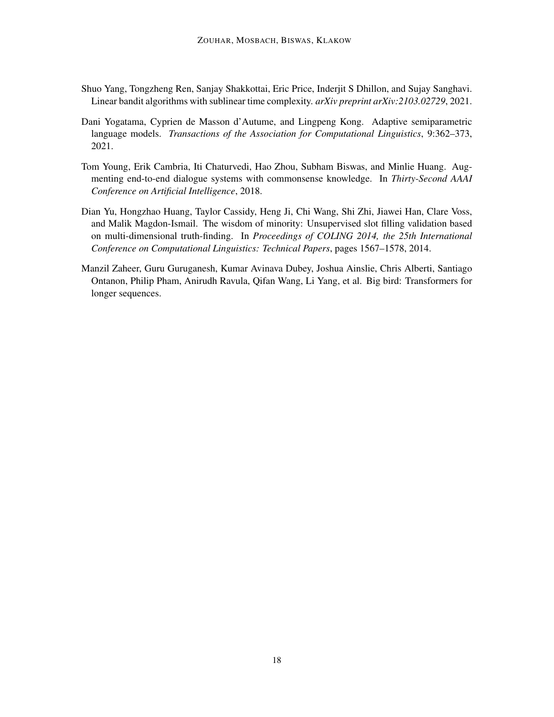- <span id="page-17-2"></span>Shuo Yang, Tongzheng Ren, Sanjay Shakkottai, Eric Price, Inderjit S Dhillon, and Sujay Sanghavi. Linear bandit algorithms with sublinear time complexity. *arXiv preprint arXiv:2103.02729*, 2021.
- <span id="page-17-1"></span>Dani Yogatama, Cyprien de Masson d'Autume, and Lingpeng Kong. Adaptive semiparametric language models. *Transactions of the Association for Computational Linguistics*, 9:362–373, 2021.
- <span id="page-17-0"></span>Tom Young, Erik Cambria, Iti Chaturvedi, Hao Zhou, Subham Biswas, and Minlie Huang. Augmenting end-to-end dialogue systems with commonsense knowledge. In *Thirty-Second AAAI Conference on Artificial Intelligence*, 2018.
- <span id="page-17-3"></span>Dian Yu, Hongzhao Huang, Taylor Cassidy, Heng Ji, Chi Wang, Shi Zhi, Jiawei Han, Clare Voss, and Malik Magdon-Ismail. The wisdom of minority: Unsupervised slot filling validation based on multi-dimensional truth-finding. In *Proceedings of COLING 2014, the 25th International Conference on Computational Linguistics: Technical Papers*, pages 1567–1578, 2014.
- <span id="page-17-4"></span>Manzil Zaheer, Guru Guruganesh, Kumar Avinava Dubey, Joshua Ainslie, Chris Alberti, Santiago Ontanon, Philip Pham, Anirudh Ravula, Qifan Wang, Li Yang, et al. Big bird: Transformers for longer sequences.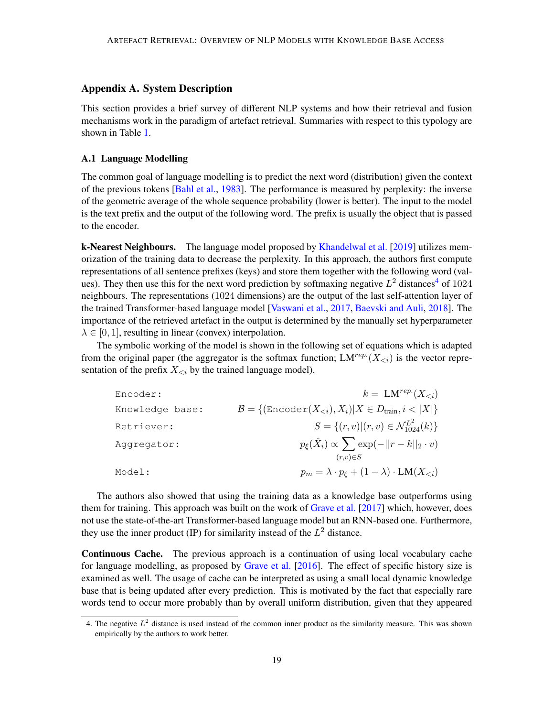# Appendix A. System Description

This section provides a brief survey of different NLP systems and how their retrieval and fusion mechanisms work in the paradigm of artefact retrieval. Summaries with respect to this typology are shown in Table [1.](#page-9-0)

# <span id="page-18-0"></span>A.1 Language Modelling

The common goal of language modelling is to predict the next word (distribution) given the context of the previous tokens [\[Bahl et al.,](#page-10-4) [1983\]](#page-10-4). The performance is measured by perplexity: the inverse of the geometric average of the whole sequence probability (lower is better). The input to the model is the text prefix and the output of the following word. The prefix is usually the object that is passed to the encoder.

**k-Nearest Neighbours.** The language model proposed by [Khandelwal et al.](#page-13-4) [\[2019\]](#page-13-4) utilizes memorization of the training data to decrease the perplexity. In this approach, the authors first compute representations of all sentence prefixes (keys) and store them together with the following word (values). They then use this for the next word prediction by softmaxing negative  $L^2$  distances<sup>[4](#page-18-1)</sup> of 1024 neighbours. The representations (1024 dimensions) are the output of the last self-attention layer of the trained Transformer-based language model [\[Vaswani et al.,](#page-16-8) [2017,](#page-16-8) [Baevski and Auli,](#page-10-5) [2018\]](#page-10-5). The importance of the retrieved artefact in the output is determined by the manually set hyperparameter  $\lambda \in [0, 1]$ , resulting in linear (convex) interpolation.

The symbolic working of the model is shown in the following set of equations which is adapted from the original paper (the aggregator is the softmax function;  $LM^{rep.}(X_{\leq i})$  is the vector representation of the prefix  $X_{\leq i}$  by the trained language model).

| Encoder:        | $k = LM^{rep.}(X_{\leq i})$                                                             |
|-----------------|-----------------------------------------------------------------------------------------|
| Knowledge base: | $\mathcal{B} = \{(\text{Encoder}(X_{\leq i}), X_i)   X \in D_{\text{train}}, i <  X \}$ |
| Retriever:      | $S = \{(r, v)   (r, v) \in \mathcal{N}_{1024}^{L^2}(k)\}\$                              |
| Aggregator:     | $p_{\xi}(\hat{X}_i) \propto \sum \exp(-  r-k  _2 \cdot v)$<br>$(r,v) \in S$             |
| Model:          | $p_m = \lambda \cdot p_{\xi} + (1 - \lambda) \cdot LM(X_{\leq i})$                      |

The authors also showed that using the training data as a knowledge base outperforms using them for training. This approach was built on the work of [Grave et al.](#page-12-12) [\[2017\]](#page-12-12) which, however, does not use the state-of-the-art Transformer-based language model but an RNN-based one. Furthermore, they use the inner product (IP) for similarity instead of the  $L^2$  distance.

Continuous Cache. The previous approach is a continuation of using local vocabulary cache for language modelling, as proposed by [Grave et al.](#page-12-8) [\[2016\]](#page-12-8). The effect of specific history size is examined as well. The usage of cache can be interpreted as using a small local dynamic knowledge base that is being updated after every prediction. This is motivated by the fact that especially rare words tend to occur more probably than by overall uniform distribution, given that they appeared

<span id="page-18-1"></span><sup>4.</sup> The negative  $L^2$  distance is used instead of the common inner product as the similarity measure. This was shown empirically by the authors to work better.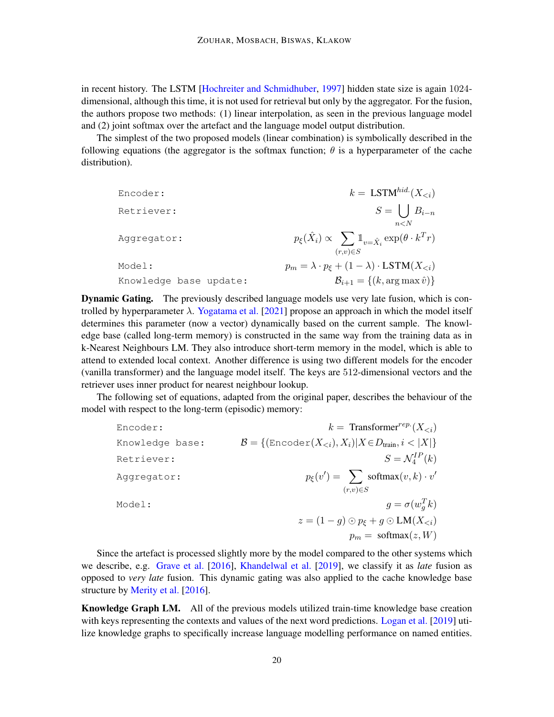in recent history. The LSTM [\[Hochreiter and Schmidhuber,](#page-12-13) [1997\]](#page-12-13) hidden state size is again 1024 dimensional, although this time, it is not used for retrieval but only by the aggregator. For the fusion, the authors propose two methods: (1) linear interpolation, as seen in the previous language model and (2) joint softmax over the artefact and the language model output distribution.

The simplest of the two proposed models (linear combination) is symbolically described in the following equations (the aggregator is the softmax function;  $\theta$  is a hyperparameter of the cache distribution).

| Encoder:               | $k =$ LSTM <sup>hid</sup> $(X_{\leq i})$                                              |
|------------------------|---------------------------------------------------------------------------------------|
| Retriever:             | $S = \bigcup B_{i-n}$                                                                 |
|                        | n < N                                                                                 |
| Aggregator:            | $p_{\xi}(\hat{X}_i) \propto \sum \mathbb{1}_{v = \hat{X}_i} \exp(\theta \cdot k^T r)$ |
|                        | $(r,v) \in S$                                                                         |
| Model:                 | $p_m = \lambda \cdot p_{\xi} + (1 - \lambda) \cdot \text{LSTM}(X_{\leq i})$           |
| Knowledge base update: | $B_{i+1} = \{(k, \arg \max \hat{v})\}\$                                               |

Dynamic Gating. The previously described language models use very late fusion, which is controlled by hyperparameter  $\lambda$ . [Yogatama et al.](#page-17-1) [\[2021\]](#page-17-1) propose an approach in which the model itself determines this parameter (now a vector) dynamically based on the current sample. The knowledge base (called long-term memory) is constructed in the same way from the training data as in k-Nearest Neighbours LM. They also introduce short-term memory in the model, which is able to attend to extended local context. Another difference is using two different models for the encoder (vanilla transformer) and the language model itself. The keys are 512-dimensional vectors and the retriever uses inner product for nearest neighbour lookup.

The following set of equations, adapted from the original paper, describes the behaviour of the model with respect to the long-term (episodic) memory:

```
Encoder: k = \text{Transformer}^{rep} (X_{\leq i})Knowledge base: \mathcal{B} = \{(\text{Encoder}(X_{\leq i}), X_i) | X \in D_{\text{train}}, i < |X|\}Retriever:
                                                         I_4^{IP}(k)Aggregator:
                                    \mathcal{O} = \sum_{i=1}^{n}(r,v) \in Ssoftmax(v, k) \cdot v'Model: g = \sigma(w_g^T k)z = (1 - g) \odot p_{\xi} + g \odot LM(X_{\leq i})p_m = \text{softmax}(z, W)
```
Since the artefact is processed slightly more by the model compared to the other systems which we describe, e.g. [Grave et al.](#page-12-8) [\[2016\]](#page-12-8), [Khandelwal et al.](#page-13-4) [\[2019\]](#page-13-4), we classify it as *late* fusion as opposed to *very late* fusion. This dynamic gating was also applied to the cache knowledge base structure by [Merity et al.](#page-14-11) [\[2016\]](#page-14-11).

Knowledge Graph LM. All of the previous models utilized train-time knowledge base creation with keys representing the contexts and values of the next word predictions. [Logan et al.](#page-14-0) [\[2019\]](#page-14-0) utilize knowledge graphs to specifically increase language modelling performance on named entities.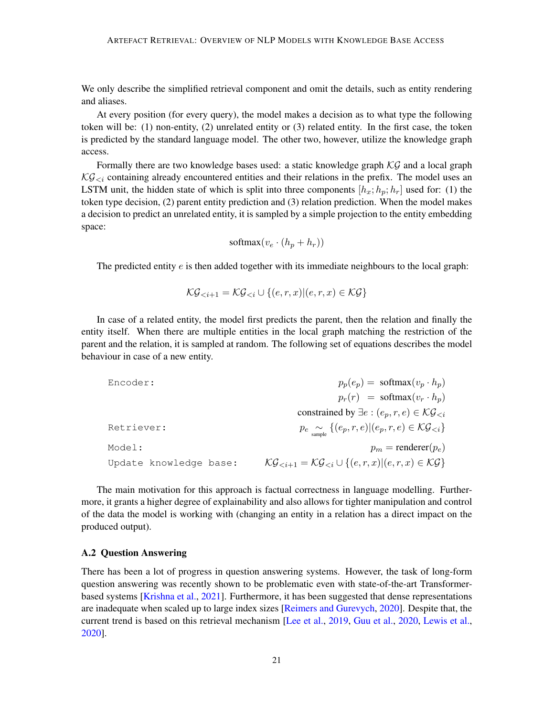We only describe the simplified retrieval component and omit the details, such as entity rendering and aliases.

At every position (for every query), the model makes a decision as to what type the following token will be: (1) non-entity, (2) unrelated entity or (3) related entity. In the first case, the token is predicted by the standard language model. The other two, however, utilize the knowledge graph access.

Formally there are two knowledge bases used: a static knowledge graph  $\mathcal{KG}$  and a local graph  $\mathcal{KG}_{\leq i}$  containing already encountered entities and their relations in the prefix. The model uses an LSTM unit, the hidden state of which is split into three components  $[h_x; h_y; h_r]$  used for: (1) the token type decision, (2) parent entity prediction and (3) relation prediction. When the model makes a decision to predict an unrelated entity, it is sampled by a simple projection to the entity embedding space:

$$
softmax(v_e \cdot (h_p + h_r))
$$

The predicted entity  $e$  is then added together with its immediate neighbours to the local graph:

$$
\mathcal{KG}_{< i+1} = \mathcal{KG}_{< i} \cup \{(e, r, x) | (e, r, x) \in \mathcal{KG}\}
$$

In case of a related entity, the model first predicts the parent, then the relation and finally the entity itself. When there are multiple entities in the local graph matching the restriction of the parent and the relation, it is sampled at random. The following set of equations describes the model behaviour in case of a new entity.

| Encoder:               | $p_p(e_p) = \text{softmax}(v_p \cdot h_p)$                                                     |
|------------------------|------------------------------------------------------------------------------------------------|
|                        | $p_r(r) = \text{softmax}(v_r \cdot h_p)$                                                       |
|                        | constrained by $\exists e : (e_p, r, e) \in \mathcal{KG}_{\leq i}$                             |
| Retriever:             | $p_e \underset{\text{sample}}{\sim} \{ (e_p, r, e)   (e_p, r, e) \in \mathcal{KG}_{\leq i} \}$ |
| Model:                 | $p_m$ = renderer( $p_e$ )                                                                      |
| Update knowledge base: | $\mathcal{KG}_{&i+1} = \mathcal{KG}_{&i} \cup \{(e, r, x)   (e, r, x) \in \mathcal{KG}\}\$     |

The main motivation for this approach is factual correctness in language modelling. Furthermore, it grants a higher degree of explainability and also allows for tighter manipulation and control of the data the model is working with (changing an entity in a relation has a direct impact on the produced output).

# A.2 Question Answering

There has been a lot of progress in question answering systems. However, the task of long-form question answering was recently shown to be problematic even with state-of-the-art Transformerbased systems [\[Krishna et al.,](#page-13-9) [2021\]](#page-13-9). Furthermore, it has been suggested that dense representations are inadequate when scaled up to large index sizes [\[Reimers and Gurevych,](#page-15-12) [2020\]](#page-15-12). Despite that, the current trend is based on this retrieval mechanism [\[Lee et al.,](#page-13-10) [2019,](#page-13-10) [Guu et al.,](#page-12-3) [2020,](#page-12-3) [Lewis et al.,](#page-13-3) [2020\]](#page-13-3).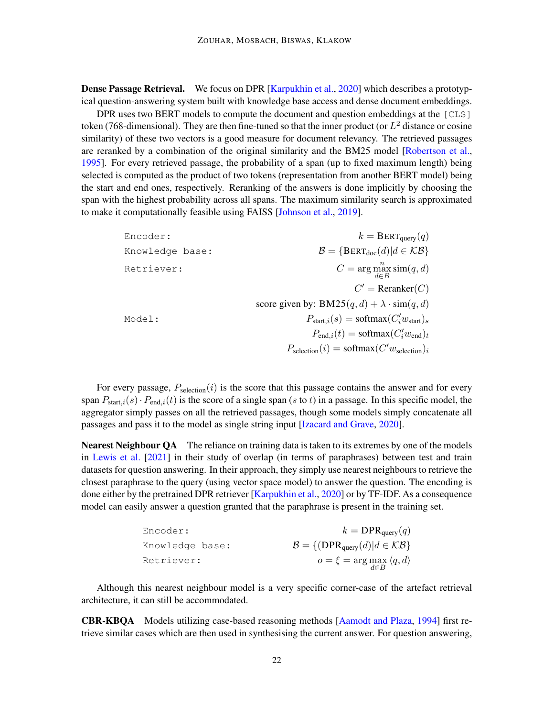**Dense Passage Retrieval.** We focus on DPR [\[Karpukhin et al.,](#page-13-2) [2020\]](#page-13-2) which describes a prototypical question-answering system built with knowledge base access and dense document embeddings.

DPR uses two BERT models to compute the document and question embeddings at the [CLS] token (768-dimensional). They are then fine-tuned so that the inner product (or  $L^2$  distance or cosine similarity) of these two vectors is a good measure for document relevancy. The retrieved passages are reranked by a combination of the original similarity and the BM25 model [\[Robertson et al.,](#page-15-8) [1995\]](#page-15-8). For every retrieved passage, the probability of a span (up to fixed maximum length) being selected is computed as the product of two tokens (representation from another BERT model) being the start and end ones, respectively. Reranking of the answers is done implicitly by choosing the span with the highest probability across all spans. The maximum similarity search is approximated to make it computationally feasible using FAISS [\[Johnson et al.,](#page-13-7) [2019\]](#page-13-7).

> Encoder:  $k = \text{BERT}_{query}(q)$ Knowledge base:  $B = {BERT_{doc}(d) | d \in KB}$ Retriever:  $\max_{d \in B}^n \text{sim}(q, d)$  $C'$  = Reranker(C) score given by:  $BM25(q, d) + \lambda \cdot \text{sim}(q, d)$ Model:  $P_{\text{start},i}(s) = \text{softmax}(C_i' w_{\text{start}})_s$  $P_{\text{end},i}(t) = \text{softmax}(C_i' w_{\text{end}})_t$  $P_{\text{selection}}(i) = \text{softmax}(C'w_{\text{selection}})_{i}$

For every passage,  $P_{\text{selection}}(i)$  is the score that this passage contains the answer and for every span  $P_{\text{start},i}(s) \cdot P_{\text{end},i}(t)$  is the score of a single span (s to t) in a passage. In this specific model, the aggregator simply passes on all the retrieved passages, though some models simply concatenate all passages and pass it to the model as single string input [\[Izacard and Grave,](#page-12-2) [2020\]](#page-12-2).

Nearest Neighbour QA The reliance on training data is taken to its extremes by one of the models in [Lewis et al.](#page-13-8) [\[2021\]](#page-13-8) in their study of overlap (in terms of paraphrases) between test and train datasets for question answering. In their approach, they simply use nearest neighbours to retrieve the closest paraphrase to the query (using vector space model) to answer the question. The encoding is done either by the pretrained DPR retriever [\[Karpukhin et al.,](#page-13-2) [2020\]](#page-13-2) or by TF-IDF. As a consequence model can easily answer a question granted that the paraphrase is present in the training set.

| Encoder:        | $k = \text{DPR}_{\text{query}}(q)$                            |
|-----------------|---------------------------------------------------------------|
| Knowledge base: | $\mathcal{B} = \{ (DPR_{query}(d)   d \in \mathcal{KB} \} \}$ |
| Retriever:      | $o = \xi = \arg \max_{d \in B} \langle q, d \rangle$          |

Although this nearest neighbour model is a very specific corner-case of the artefact retrieval architecture, it can still be accommodated.

CBR-KBQA Models utilizing case-based reasoning methods [\[Aamodt and Plaza,](#page-10-6) [1994\]](#page-10-6) first retrieve similar cases which are then used in synthesising the current answer. For question answering,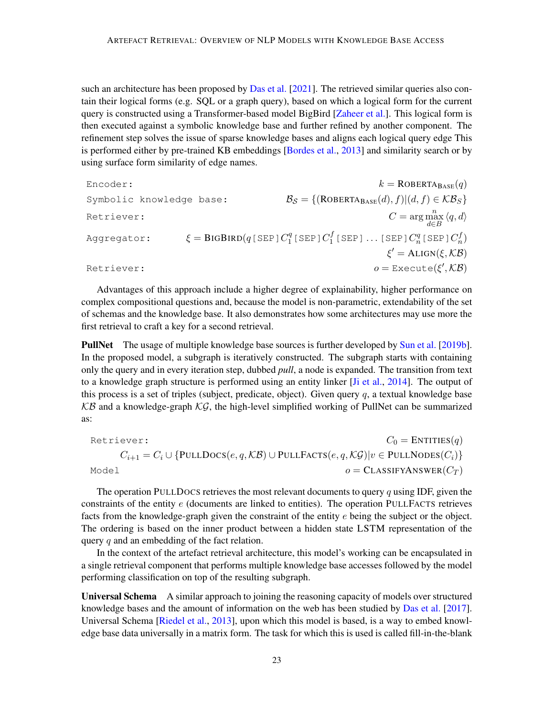such an architecture has been proposed by [Das et al.](#page-12-9) [\[2021\]](#page-12-9). The retrieved similar queries also contain their logical forms (e.g. SQL or a graph query), based on which a logical form for the current query is constructed using a Transformer-based model BigBird [\[Zaheer et al.\]](#page-17-4). This logical form is then executed against a symbolic knowledge base and further refined by another component. The refinement step solves the issue of sparse knowledge bases and aligns each logical query edge This is performed either by pre-trained KB embeddings [\[Bordes et al.,](#page-11-10) [2013\]](#page-11-10) and similarity search or by using surface form similarity of edge names.

 $\text{Encoder:}$   $k = \text{ROBERTA}_{\text{BASE}}(q)$ Symbolic knowledge base:  $B_{\mathcal{S}} = \{(\text{ROBERTA}_{\text{BASE}}(d), f) | (d, f) \in \mathcal{KB}_{\mathcal{S}}\}$ Retriever:  $\max_{d \in B}^n \langle q, d \rangle$ Aggregator:  $\xi = \text{Big}(q\text{ [SEP]} C_1^q\text{ [SEP]} C_1^f\text{ [SEP]} \dots \text{ [SEP]} C_n^q\text{ [SEP]} C_n^f)$  $\xi' = \text{ALIGN}(\xi, \mathcal{KB})$ Retriever:  $o = \text{Execute}(\xi', \mathcal{KB})$ 

Advantages of this approach include a higher degree of explainability, higher performance on complex compositional questions and, because the model is non-parametric, extendability of the set of schemas and the knowledge base. It also demonstrates how some architectures may use more the first retrieval to craft a key for a second retrieval.

**PullNet** The usage of multiple knowledge base sources is further developed by [Sun et al.](#page-16-7) [\[2019b\]](#page-16-7). In the proposed model, a subgraph is iteratively constructed. The subgraph starts with containing only the query and in every iteration step, dubbed *pull*, a node is expanded. The transition from text to a knowledge graph structure is performed using an entity linker [\[Ji et al.,](#page-13-11) [2014\]](#page-13-11). The output of this process is a set of triples (subject, predicate, object). Given query q, a textual knowledge base  $KB$  and a knowledge-graph  $KG$ , the high-level simplified working of PullNet can be summarized as:

Retriever:

\n
$$
C_0 = \text{ENTITIES}(q)
$$
\n
$$
C_{i+1} = C_i \cup \{ \text{PULLDocs}(e, q, \mathcal{KB}) \cup \text{PULLFactors}(e, q, \mathcal{KG}) | v \in \text{PULLNODEs}(C_i) \}
$$
\nModel

\n
$$
o = \text{CLASSIFYANSWER}(C_T)
$$

The operation PULLDOCS retrieves the most relevant documents to query  $q$  using IDF, given the constraints of the entity  $e$  (documents are linked to entities). The operation PULLFACTS retrieves facts from the knowledge-graph given the constraint of the entity e being the subject or the object. The ordering is based on the inner product between a hidden state LSTM representation of the query  $q$  and an embedding of the fact relation.

In the context of the artefact retrieval architecture, this model's working can be encapsulated in a single retrieval component that performs multiple knowledge base accesses followed by the model performing classification on top of the resulting subgraph.

Universal Schema A similar approach to joining the reasoning capacity of models over structured knowledge bases and the amount of information on the web has been studied by [Das et al.](#page-12-10) [\[2017\]](#page-12-10). Universal Schema [\[Riedel et al.,](#page-15-13) [2013\]](#page-15-13), upon which this model is based, is a way to embed knowledge base data universally in a matrix form. The task for which this is used is called fill-in-the-blank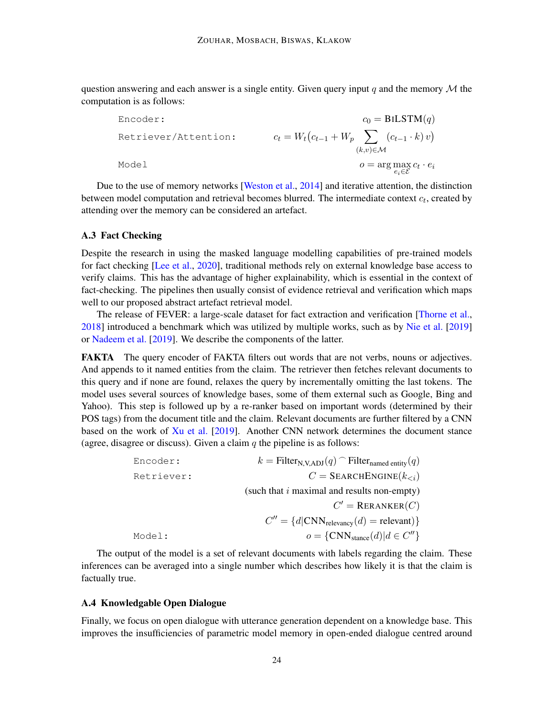question answering and each answer is a single entity. Given query input q and the memory  $\mathcal M$  the computation is as follows:

Encoder:

\n
$$
c_0 = \text{BILSTM}(q)
$$
\nRetriever/Attention:

\n
$$
c_t = W_t \left( c_{t-1} + W_p \sum_{\substack{(k, v) \in \mathcal{M} \\ e_i \in \mathcal{E}}} \left( c_{t-1} \cdot k \right) v \right)
$$
\nModel

\n
$$
o = \arg \max_{e_i \in \mathcal{E}} c_t \cdot e_i
$$

Due to the use of memory networks [\[Weston et al.,](#page-16-9) [2014\]](#page-16-9) and iterative attention, the distinction between model computation and retrieval becomes blurred. The intermediate context  $c_t$ , created by attending over the memory can be considered an artefact.

#### A.3 Fact Checking

Despite the research in using the masked language modelling capabilities of pre-trained models for fact checking [\[Lee et al.,](#page-13-12) [2020\]](#page-13-12), traditional methods rely on external knowledge base access to verify claims. This has the advantage of higher explainability, which is essential in the context of fact-checking. The pipelines then usually consist of evidence retrieval and verification which maps well to our proposed abstract artefact retrieval model.

The release of FEVER: a large-scale dataset for fact extraction and verification [\[Thorne et al.,](#page-16-10) [2018\]](#page-16-10) introduced a benchmark which was utilized by multiple works, such as by [Nie et al.](#page-14-12) [\[2019\]](#page-14-12) or [Nadeem et al.](#page-14-10) [\[2019\]](#page-14-10). We describe the components of the latter.

FAKTA The query encoder of FAKTA filters out words that are not verbs, nouns or adjectives. And appends to it named entities from the claim. The retriever then fetches relevant documents to this query and if none are found, relaxes the query by incrementally omitting the last tokens. The model uses several sources of knowledge bases, some of them external such as Google, Bing and Yahoo). This step is followed up by a re-ranker based on important words (determined by their POS tags) from the document title and the claim. Relevant documents are further filtered by a CNN based on the work of [Xu et al.](#page-16-11) [\[2019\]](#page-16-11). Another CNN network determines the document stance (agree, disagree or discuss). Given a claim  $q$  the pipeline is as follows:

| Encoder:   | $k = \text{Filter}_{N, V, ADJ}(q)$ Filter <sub>named entity</sub> $(q)$ |
|------------|-------------------------------------------------------------------------|
| Retriever: | $C =$ SEARCHENGINE $(k_{\leq i})$                                       |
|            | (such that $i$ maximal and results non-empty)                           |
|            | $C' = \text{RERANKER}(C)$                                               |
|            | $C'' = \{d CNN_{\text{relevance}}(d) = \text{relevant}\}\$              |
| Model:     | $o = \{CNN_{\text{stance}}(d)   d \in C''\}$                            |

The output of the model is a set of relevant documents with labels regarding the claim. These inferences can be averaged into a single number which describes how likely it is that the claim is factually true.

# A.4 Knowledgable Open Dialogue

Finally, we focus on open dialogue with utterance generation dependent on a knowledge base. This improves the insufficiencies of parametric model memory in open-ended dialogue centred around